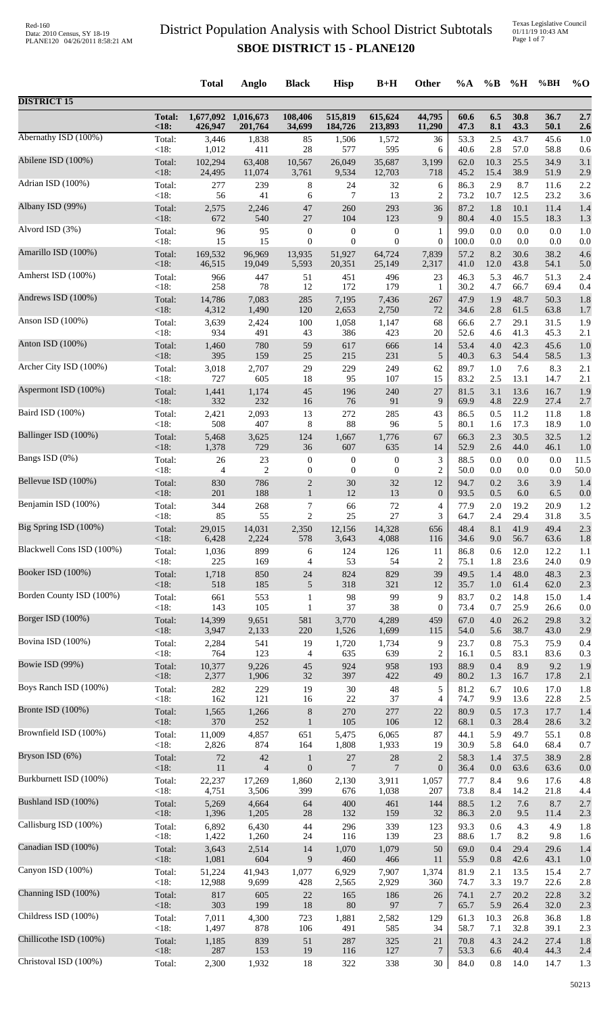|                           |                       | <b>Total</b>     | Anglo                          | <b>Black</b>      | <b>Hisp</b>        | $B+H$              | Other            | %A           | $\%B$          | %H           | %BH          | $\%$ O     |
|---------------------------|-----------------------|------------------|--------------------------------|-------------------|--------------------|--------------------|------------------|--------------|----------------|--------------|--------------|------------|
| <b>DISTRICT 15</b>        |                       |                  |                                |                   |                    |                    |                  |              |                |              |              |            |
|                           | <b>Total:</b><br><18: | 426,947          | 1,677,092 1,016,673<br>201,764 | 108,406<br>34,699 | 515,819<br>184,726 | 615,624<br>213,893 | 44,795<br>11,290 | 60.6<br>47.3 | 6.5<br>8.1     | 30.8<br>43.3 | 36.7<br>50.1 | 2.7<br>2.6 |
| Abernathy ISD (100%)      | Total:                | 3,446            | 1,838                          | 85                | 1,506              | 1,572              | 36               | 53.3         | 2.5            | 43.7         | 45.6<br>58.8 | 1.0        |
| Abilene ISD (100%)        | < 18:<br>Total:       | 1,012<br>102,294 | 411<br>63,408                  | 28<br>10,567      | 577<br>26,049      | 595<br>35,687      | 6<br>3,199       | 40.6<br>62.0 | 2.8<br>10.3    | 57.0<br>25.5 | 34.9         | 0.6<br>3.1 |
| Adrian ISD (100%)         | <18:                  | 24,495           | 11,074                         | 3,761             | 9,534              | 12,703             | 718              | 45.2         | 15.4           | 38.9         | 51.9         | 2.9        |
|                           | Total:                | 277              | 239                            | $\,8\,$           | 24                 | 32                 | 6                | 86.3         | 2.9            | 8.7          | 11.6         | 2.2        |
| Albany ISD (99%)          | < 18:                 | 56               | 41                             | 6                 | 7                  | 13                 | $\overline{2}$   | 73.2         | 10.7           | 12.5         | 23.2         | 3.6        |
|                           | Total:                | 2,575            | 2,246                          | $47\,$            | 260                | 293                | 36               | 87.2         | 1.8            | 10.1         | 11.4         | 1.4        |
| Alvord ISD (3%)           | <18:                  | 672              | 540                            | 27                | 104                | 123                | 9                | 80.4         | 4.0            | 15.5         | 18.3         | 1.3        |
|                           | Total:                | 96               | 95                             | $\boldsymbol{0}$  | $\boldsymbol{0}$   | $\boldsymbol{0}$   | 1                | 99.0         | 0.0            | 0.0          | 0.0          | 1.0        |
|                           | < 18:                 | 15               | 15                             | $\boldsymbol{0}$  | $\boldsymbol{0}$   | $\mathbf{0}$       | $\mathbf{0}$     | 100.0        | 0.0            | 0.0          | 0.0          | 0.0        |
| Amarillo ISD (100%)       | Total:                | 169,532          | 96,969                         | 13,935            | 51,927             | 64,724             | 7,839            | 57.2         | 8.2            | 30.6         | 38.2         | 4.6        |
|                           | <18:                  | 46,515           | 19,049                         | 5,593             | 20,351             | 25,149             | 2,317            | 41.0         | 12.0           | 43.8         | 54.1         | 5.0        |
| Amherst ISD (100%)        | Total:                | 966              | 447                            | 51                | 451                | 496                | 23               | 46.3         | 5.3            | 46.7         | 51.3         | 2.4        |
|                           | <18:                  | 258              | 78                             | 12                | 172                | 179                | $\mathbf{1}$     | 30.2         | 4.7            | 66.7         | 69.4         | 0.4        |
| Andrews ISD (100%)        | Total:                | 14,786           | 7,083                          | 285               | 7,195              | 7,436              | 267              | 47.9         | 1.9            | 48.7         | 50.3         | 1.8        |
|                           | <18:                  | 4,312            | 1,490                          | 120               | 2,653              | 2,750              | 72               | 34.6         | 2.8            | 61.5         | 63.8         | 1.7        |
| Anson ISD (100%)          | Total:                | 3,639            | 2,424                          | 100               | 1,058              | 1,147              | 68               | 66.6         | 2.7            | 29.1         | 31.5         | 1.9        |
| Anton ISD $(100\%)$       | <18:                  | 934              | 491                            | 43                | 386                | 423                | 20               | 52.6         | 4.6            | 41.3         | 45.3         | 2.1        |
|                           | Total:                | 1,460            | 780                            | 59                | 617                | 666                | 14               | 53.4         | 4.0            | 42.3         | 45.6         | 1.0        |
| Archer City ISD (100%)    | <18:                  | 395              | 159                            | $25\,$            | 215                | 231                | 5                | 40.3         | 6.3            | 54.4         | 58.5         | 1.3        |
|                           | Total:                | 3,018            | 2,707                          | 29                | 229                | 249                | 62               | 89.7         | 1.0            | 7.6          | 8.3          | 2.1        |
| Aspermont ISD (100%)      | <18:                  | 727              | 605                            | 18                | 95                 | 107                | 15               | 83.2         | 2.5            | 13.1         | 14.7         | 2.1        |
|                           | Total:                | 1,441            | 1,174                          | $45\,$            | 196                | 240                | 27               | 81.5         | 3.1            | 13.6         | 16.7         | 1.9        |
|                           | <18:                  | 332              | 232                            | 16                | 76                 | 91                 | 9                | 69.9         | 4.8            | 22.9         | 27.4         | 2.7        |
| Baird ISD (100%)          | Total:                | 2,421            | 2,093                          | 13                | 272                | 285                | 43               | 86.5         | 0.5            | 11.2         | 11.8         | 1.8        |
|                           | <18:                  | 508              | 407                            | 8                 | 88                 | 96                 | 5                | 80.1         | 1.6            | 17.3         | 18.9         | 1.0        |
| Ballinger ISD (100%)      | Total:                | 5,468            | 3,625                          | 124               | 1,667              | 1,776              | 67               | 66.3         | 2.3            | 30.5         | 32.5         | 1.2        |
|                           | <18:                  | 1,378            | 729                            | 36                | 607                | 635                | 14               | 52.9         | 2.6            | 44.0         | 46.1         | 1.0        |
| Bangs ISD (0%)            | Total:                | 26               | 23                             | $\boldsymbol{0}$  | $\boldsymbol{0}$   | $\boldsymbol{0}$   | 3                | 88.5         | 0.0            | 0.0          | 0.0          | 11.5       |
|                           | <18:                  | $\overline{4}$   | $\overline{2}$                 | $\boldsymbol{0}$  | $\boldsymbol{0}$   | $\mathbf{0}$       | $\overline{2}$   | 50.0         | 0.0            | 0.0          | 0.0          | 50.0       |
| Bellevue ISD (100%)       | Total:                | 830              | 786                            | $\overline{c}$    | $30\,$             | 32                 | 12               | 94.7         | 0.2            | 3.6          | 3.9          | 1.4        |
| Benjamin ISD (100%)       | <18:                  | 201              | 188                            | $\mathbf{1}$      | 12                 | 13                 | $\mathbf{0}$     | 93.5         | 0.5            | 6.0          | 6.5          | 0.0        |
|                           | Total:                | 344              | 268                            | $\overline{7}$    | 66                 | 72                 | $\overline{4}$   | 77.9         | 2.0            | 19.2         | 20.9         | 1.2        |
| Big Spring ISD (100%)     | <18:                  | 85               | 55                             | $\overline{2}$    | 25                 | 27                 | $\mathfrak{Z}$   | 64.7         | 2.4            | 29.4         | 31.8         | 3.5        |
|                           | Total:                | 29,015           | 14,031                         | 2,350             | 12,156             | 14,328             | 656              | 48.4         | 8.1            | 41.9         | 49.4         | 2.3        |
| Blackwell Cons ISD (100%) | <18:                  | 6,428            | 2,224                          | 578               | 3,643              | 4,088              | 116              | 34.6         | 9.0            | 56.7         | 63.6         | 1.8        |
|                           | Total:                | 1,036            | 899                            | 6                 | 124                | 126                | 11               | 86.8         | 0.6            | 12.0         | 12.2         | 1.1        |
|                           | <18:                  | 225              | 169                            | 4                 | 53                 | 54                 | $\overline{c}$   | 75.1         | 1.8            | 23.6         | 24.0         | 0.9        |
| Booker ISD (100%)         | Total:                | 1,718            | 850                            | 24                | 824                | 829                | 39               | 49.5         | 1.4            | 48.0         | 48.3         | 2.3        |
|                           | < 18:                 | 518              | 185                            | $\sqrt{5}$        | 318                | 321                | 12               | 35.7         | 1.0            | 61.4         | 62.0         | 2.3        |
| Borden County ISD (100%)  | Total:                | 661              | 553                            | $\mathbf{1}$      | 98                 | 99                 | 9                | 83.7         | 0.2            | 14.8         | 15.0         | 1.4        |
|                           | <18:                  | 143              | 105                            | $\mathbf{1}$      | 37                 | 38                 | $\mathbf{0}$     | 73.4         | 0.7            | 25.9         | 26.6         | 0.0        |
| Borger ISD (100%)         | Total:                | 14,399           | 9,651                          | 581               | 3,770              | 4,289              | 459              | 67.0         | 4.0            | 26.2         | 29.8         | 3.2        |
|                           | < 18:                 | 3,947            | 2,133                          | 220               | 1,526              | 1,699              | 115              | 54.0         | 5.6            | 38.7         | 43.0         | 2.9        |
| Bovina ISD (100%)         | Total:                | 2,284            | 541                            | 19                | 1,720              | 1,734              | 9                | 23.7         | 0.8            | 75.3         | 75.9         | 0.4        |
| Bowie ISD (99%)           | $<18$ :               | 764              | 123                            | 4                 | 635                | 639                | $\overline{2}$   | 16.1         | 0.5            | 83.1         | 83.6         | 0.3        |
|                           | Total:                | 10,377           | 9,226                          | 45                | 924                | 958                | 193              | 88.9         | 0.4            | 8.9          | 9.2          | 1.9        |
| Boys Ranch ISD (100%)     | $<18$ :               | 2,377            | 1,906                          | 32                | 397                | 422                | 49               | 80.2         | 1.3            | 16.7         | 17.8         | 2.1        |
|                           | Total:                | 282              | 229                            | 19                | $30\,$             | $\sqrt{48}$        | 5                | 81.2         | 6.7            | 10.6         | 17.0         | 1.8        |
|                           | < 18:                 | 162              | 121                            | 16                | $22\,$             | 37                 | $\overline{4}$   | 74.7         | 9.9            | 13.6         | 22.8         | 2.5        |
| Bronte ISD (100%)         | Total:                | 1,565            | 1,266                          | $\,$ $\,$         | 270                | 277                | 22               | 80.9         | 0.5            | 17.3         | 17.7         | 1.4        |
|                           | < 18:                 | 370              | 252                            | $\mathbf{1}$      | 105                | 106                | 12               | 68.1         | 0.3            | 28.4         | 28.6         | 3.2        |
| Brownfield ISD (100%)     | Total:                | 11,009           | 4,857                          | 651               | 5,475              | 6,065              | 87               | 44.1         | 5.9            | 49.7         | 55.1         | 0.8        |
|                           | < 18:                 | 2,826            | 874                            | 164               | 1,808              | 1,933              | 19               | 30.9         | 5.8            | 64.0         | 68.4         | 0.7        |
| Bryson ISD (6%)           | Total:                | $72\,$           | 42                             | $\mathbf{1}$      | $27\,$             | $28\,$             | $\overline{2}$   | 58.3         | 1.4            | 37.5         | 38.9         | 2.8        |
|                           | <18:                  | 11               | $\overline{4}$                 | $\boldsymbol{0}$  | $\tau$             | $\overline{7}$     | $\mathbf{0}$     | 36.4         | 0.0            | 63.6         | 63.6         | 0.0        |
| Burkburnett ISD (100%)    | Total:<br>< 18:       | 22,237           | 17,269                         | 1,860<br>399      | 2,130              | 3,911              | 1,057            | 77.7<br>73.8 | 8.4            | 9.6<br>14.2  | 17.6         | 4.8        |
| Bushland ISD (100%)       | Total:                | 4,751<br>5,269   | 3,506<br>4,664                 | 64                | 676<br>400         | 1,038<br>461       | 207<br>144       | 88.5         | 8.4<br>$1.2\,$ | 7.6          | 21.8<br>8.7  | 4.4<br>2.7 |
| Callisburg ISD (100%)     | < 18:                 | 1,396            | 1,205                          | 28                | 132                | 159                | 32               | 86.3         | 2.0            | 9.5          | 11.4         | 2.3        |
|                           | Total:                | 6,892            | 6,430                          | 44                | 296                | 339                | 123              | 93.3         | 0.6            | 4.3          | 4.9          | 1.8        |
| Canadian ISD (100%)       | < 18:                 | 1,422            | 1,260                          | 24                | 116                | 139                | 23               | 88.6         | 1.7            | 8.2          | 9.8          | 1.6        |
|                           | Total:                | 3,643            | 2,514                          | 14                | 1,070              | 1,079              | 50               | 69.0         | 0.4            | 29.4         | 29.6         | 1.4        |
|                           | < 18:                 | 1,081            | 604                            | 9                 | 460                | 466                | 11               | 55.9         | 0.8            | 42.6         | 43.1         | 1.0        |
| Canyon ISD (100%)         | Total:                | 51,224           | 41,943                         | 1,077             | 6,929              | 7,907              | 1,374            | 81.9         | 2.1            | 13.5         | 15.4         | 2.7        |
|                           | < 18:                 | 12,988           | 9,699                          | 428               | 2,565              | 2,929              | 360              | 74.7         | 3.3            | 19.7         | 22.6         | 2.8        |
| Channing ISD (100%)       | Total:                | 817              | 605                            | 22                | 165                | 186                | 26               | 74.1         | 2.7            | 20.2         | 22.8         | 3.2        |
|                           | < 18:                 | 303              | 199                            | 18                | 80                 | 97                 | $\tau$           | 65.7         | 5.9            | 26.4         | 32.0         | 2.3        |
| Childress ISD (100%)      | Total:                | 7,011            | 4,300                          | 723               | 1,881              | 2,582              | 129              | 61.3         | 10.3           | 26.8         | 36.8         | 1.8        |
|                           | < 18:                 | 1,497            | 878                            | 106               | 491                | 585                | 34               | 58.7         | 7.1            | 32.8         | 39.1         | 2.3        |
| Chillicothe ISD (100%)    | Total:                | 1,185            | 839                            | $51\,$            | 287                | 325                | $21\,$           | 70.8         | 4.3            | 24.2         | 27.4         | 1.8        |
| Christoval ISD (100%)     | < 18:                 | 287              | 153                            | 19                | 116                | 127                | $\tau$           | 53.3         | 6.6            | 40.4         | 44.3         | 2.4        |
|                           | Total:                | 2,300            | 1,932                          | 18                | 322                | 338                | 30               | 84.0         | $0.8\,$        | 14.0         | 14.7         | 1.3        |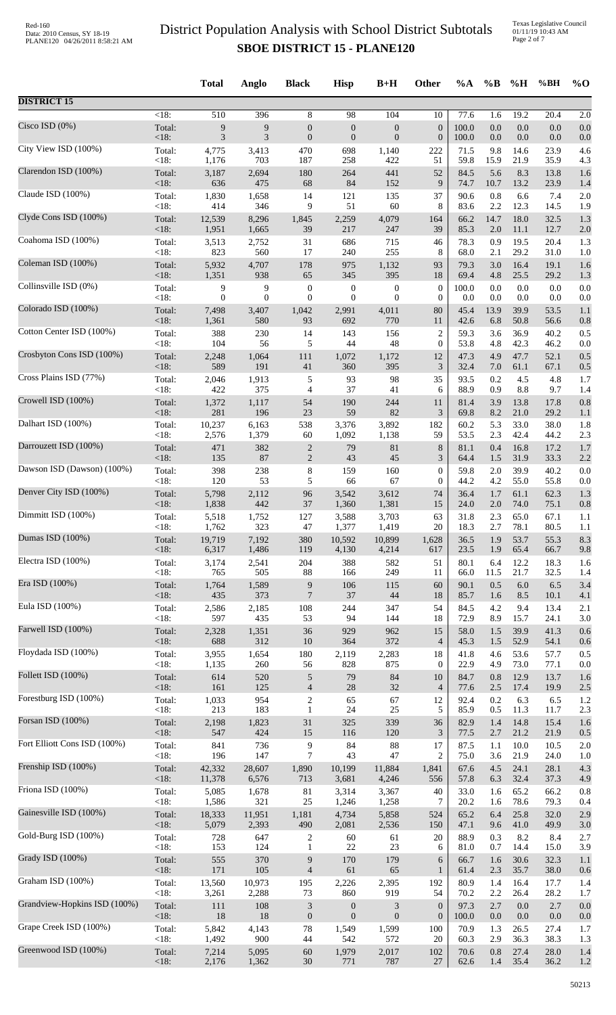|                              |                | <b>Total</b>     | Anglo            | <b>Black</b>                       | <b>Hisp</b>      | $B+H$            | Other            | %A           | $\%B$          | %H              | %BH          | $\%$ O     |
|------------------------------|----------------|------------------|------------------|------------------------------------|------------------|------------------|------------------|--------------|----------------|-----------------|--------------|------------|
| <b>DISTRICT 15</b>           |                |                  |                  |                                    |                  |                  |                  |              |                |                 |              |            |
| Cisco ISD $(0%)$             | $<18$ :        | 510              | 396              | 8                                  | 98               | 104              | 10               | 77.6         | 1.6            | 19.2            | 20.4         | 2.0        |
|                              | Total:         | 9                | 9                | $\boldsymbol{0}$                   | $\boldsymbol{0}$ | $\boldsymbol{0}$ | $\boldsymbol{0}$ | 100.0        | $0.0\,$        | $0.0\,$         | 0.0          | 0.0        |
| City View ISD (100%)         | <18:           | 3                | 3                | $\boldsymbol{0}$                   | $\mathbf{0}$     | $\mathbf{0}$     | $\boldsymbol{0}$ | 100.0        | $0.0\,$        | $0.0\,$         | 0.0          | 0.0        |
|                              | Total:         | 4,775            | 3,413            | 470                                | 698              | 1,140            | 222              | 71.5         | 9.8            | 14.6            | 23.9         | 4.6        |
| Clarendon ISD (100%)         | < 18:          | 1,176            | 703              | 187                                | 258              | 422              | 51               | 59.8         | 15.9           | 21.9            | 35.9         | 4.3        |
|                              | Total:         | 3,187            | 2,694            | 180                                | 264              | 441              | 52               | 84.5         | 5.6            | 8.3             | 13.8         | 1.6        |
| Claude ISD (100%)            | <18:           | 636              | 475              | 68                                 | 84               | 152              | 9                | 74.7         | 10.7           | 13.2            | 23.9         | 1.4        |
|                              | Total:         | 1,830            | 1,658            | 14                                 | 121              | 135              | 37               | 90.6         | 0.8            | 6.6             | 7.4          | 2.0        |
| Clyde Cons ISD (100%)        | < 18:          | 414              | 346              | 9                                  | 51               | 60               | 8                | 83.6         | 2.2            | 12.3            | 14.5         | 1.9        |
|                              | Total:         | 12,539           | 8,296            | 1,845                              | 2,259            | 4,079            | 164              | 66.2         | 14.7           | 18.0            | 32.5         | 1.3        |
|                              | <18:           | 1,951            | 1,665            | 39                                 | 217              | 247              | 39               | 85.3         | 2.0            | 11.1            | 12.7         | 2.0        |
| Coahoma ISD (100%)           | Total:         | 3,513            | 2,752            | 31                                 | 686              | 715              | 46               | 78.3         | 0.9            | 19.5            | 20.4         | 1.3        |
|                              | <18:           | 823              | 560              | 17                                 | 240              | 255              | $\,8\,$          | 68.0         | 2.1            | 29.2            | 31.0         | 1.0        |
| Coleman ISD (100%)           | Total:         | 5,932            | 4,707            | 178                                | 975              | 1,132            | 93               | 79.3         | 3.0            | 16.4            | 19.1         | 1.6        |
|                              | <18:           | 1,351            | 938              | 65                                 | 345              | 395              | $18\,$           | 69.4         | 4.8            | 25.5            | 29.2         | 1.3        |
| Collinsville ISD (0%)        | Total:         | 9                | 9                | $\boldsymbol{0}$                   | $\boldsymbol{0}$ | $\boldsymbol{0}$ | $\boldsymbol{0}$ | 100.0        | 0.0            | 0.0             | 0.0          | 0.0        |
|                              | <18:           | $\boldsymbol{0}$ | $\boldsymbol{0}$ | $\mathbf{0}$                       | $\overline{0}$   | $\theta$         | $\boldsymbol{0}$ | 0.0          | 0.0            | 0.0             | 0.0          | 0.0        |
| Colorado ISD (100%)          | Total:         | 7,498            | 3,407            | 1,042                              | 2,991            | 4,011            | 80               | 45.4         | 13.9           | 39.9            | 53.5         | 1.1        |
| Cotton Center ISD (100%)     | $<18$ :        | 1,361            | 580              | 93                                 | 692              | 770              | 11               | 42.6         | 6.8            | 50.8            | 56.6         | 0.8        |
|                              | Total:         | 388              | 230              | 14                                 | 143              | 156              | $\overline{c}$   | 59.3         | 3.6            | 36.9            | 40.2         | 0.5        |
| Crosbyton Cons ISD (100%)    | <18:           | 104              | 56               | 5                                  | 44               | 48               | $\boldsymbol{0}$ | 53.8         | 4.8            | 42.3            | 46.2         | 0.0        |
|                              | Total:         | 2,248            | 1,064            | 111                                | 1,072            | 1,172            | 12               | 47.3         | 4.9            | 47.7            | 52.1         | 0.5        |
| Cross Plains ISD (77%)       | $<18$ :        | 589              | 191              | 41                                 | 360              | 395              | 3                | 32.4         | 7.0            | 61.1            | 67.1         | 0.5        |
|                              | Total:         | 2,046            | 1,913            | 5                                  | 93               | 98               | 35               | 93.5         | 0.2            | 4.5             | 4.8          | 1.7        |
| Crowell ISD (100%)           | < 18:          | 422              | 375              | $\overline{4}$                     | 37               | 41               | 6                | 88.9         | 0.9            | 8.8             | 9.7          | 1.4        |
|                              | Total:         | 1,372            | 1,117            | 54                                 | 190              | 244              | 11               | 81.4         | 3.9            | 13.8            | 17.8         | 0.8        |
|                              | <18:           | 281              | 196              | 23                                 | 59               | 82               | 3                | 69.8         | 8.2            | 21.0            | 29.2         | 1.1        |
| Dalhart ISD (100%)           | Total:         | 10,237           | 6,163            | 538                                | 3,376            | 3,892            | 182              | 60.2         | 5.3            | 33.0            | 38.0         | 1.8        |
|                              | <18:           | 2,576            | 1,379            | 60                                 | 1,092            | 1,138            | 59               | 53.5         | 2.3            | 42.4            | 44.2         | 2.3        |
| Darrouzett ISD (100%)        | Total:         | 471              | 382              | $\overline{c}$                     | 79               | 81               | $\,8\,$          | 81.1         | 0.4            | 16.8            | 17.2         | 1.7        |
|                              | <18:           | 135              | 87               | $\sqrt{2}$                         | 43               | 45               | 3                | 64.4         | 1.5            | 31.9            | 33.3         | 2.2        |
| Dawson ISD (Dawson) (100%)   | Total:         | 398              | 238              | $\,8\,$                            | 159              | 160              | $\boldsymbol{0}$ | 59.8         | 2.0            | 39.9            | 40.2         | 0.0        |
|                              | <18:           | 120              | 53               | 5                                  | 66               | 67               | $\boldsymbol{0}$ | 44.2         | 4.2            | 55.0            | 55.8         | 0.0        |
| Denver City ISD (100%)       | Total:<br><18: | 5,798            | 2,112<br>442     | 96                                 | 3,542            | 3,612            | 74               | 36.4         | 1.7<br>$2.0\,$ | 61.1<br>74.0    | 62.3<br>75.1 | 1.3        |
| Dimmitt ISD (100%)           | Total:         | 1,838<br>5,518   | 1,752            | 37<br>127                          | 1,360<br>3,588   | 1,381<br>3,703   | 15<br>63         | 24.0<br>31.8 | 2.3            | 65.0            | 67.1         | 0.8<br>1.1 |
| Dumas ISD (100%)             | <18:           | 1,762            | 323              | 47                                 | 1,377            | 1,419            | 20               | 18.3         | 2.7            | 78.1            | 80.5         | 1.1        |
|                              | Total:         | 19,719           | 7,192            | 380                                | 10,592           | 10,899           | 1,628            | 36.5         | 1.9            | 53.7            | 55.3         | 8.3        |
| Electra ISD (100%)           | <18:           | 6,317            | 1,486            | 119                                | 4,130            | 4,214            | 617              | 23.5         | 1.9            | 65.4            | 66.7         | 9.8        |
|                              | Total:         | 3,174            | 2,541            | 204                                | 388              | 582              | 51               | 80.1         | 6.4            | 12.2            | 18.3         | 1.6        |
| Era ISD (100%)               | <18:           | 765              | 505              | 88                                 | 166<br>106       | 249              | 11<br>60         | 66.0<br>90.1 | 11.5<br>0.5    | 21.7<br>$6.0\,$ | 32.5<br>6.5  | 1.4        |
|                              | Total:<br><18: | 1,764<br>435     | 1,589<br>373     | $\overline{9}$<br>$\boldsymbol{7}$ | 37               | 115<br>44        | 18               | 85.7         | 1.6            | 8.5             | 10.1         | 3.4<br>4.1 |
| Eula ISD (100%)              | Total:         | 2,586            | 2,185            | 108                                | 244              | 347              | 54               | 84.5         | 4.2            | 9.4             | 13.4         | 2.1        |
|                              | <18:           | 597              | 435              | 53                                 | 94               | 144              | 18               | 72.9         | 8.9            | 15.7            | 24.1         | 3.0        |
| Farwell ISD (100%)           | Total:         | 2,328            | 1,351            | 36                                 | 929              | 962              | 15               | 58.0         | 1.5            | 39.9            | 41.3         | 0.6        |
|                              | $<18$ :        | 688              | 312              | 10                                 | 364              | 372              | $\overline{4}$   | 45.3         | 1.5            | 52.9            | 54.1         | 0.6        |
| Floydada ISD (100%)          | Total:         | 3,955            | 1,654            | 180                                | 2,119            | 2,283            | 18               | 41.8         | 4.6            | 53.6            | 57.7         | 0.5        |
|                              | <18:           | 1,135            | 260              | 56                                 | 828              | 875              | $\boldsymbol{0}$ | 22.9         | 4.9            | 73.0            | 77.1         | 0.0        |
| Follett ISD (100%)           | Total:         | 614              | 520              | $\sqrt{5}$                         | 79               | 84               | 10               | 84.7         | 0.8            | 12.9            | 13.7         | 1.6        |
|                              | <18:           | 161              | 125              | $\overline{4}$                     | $28\,$           | 32               | $\overline{4}$   | 77.6         | 2.5            | 17.4            | 19.9         | 2.5        |
| Forestburg ISD (100%)        | Total:         | 1,033<br>213     | 954              | $\sqrt{2}$                         | 65               | 67               | 12               | 92.4         | 0.2            | 6.3             | 6.5          | 1.2        |
| Forsan ISD (100%)            | <18:<br>Total: | 2,198            | 183<br>1,823     | $\mathbf{1}$<br>$31\,$             | 24<br>325        | 25<br>339        | 5<br>36          | 85.9<br>82.9 | 0.5<br>1.4     | 11.3<br>14.8    | 11.7<br>15.4 | 2.3<br>1.6 |
| Fort Elliott Cons ISD (100%) | <18:           | 547              | 424              | 15                                 | 116              | 120              | $\mathfrak{Z}$   | 77.5         | 2.7            | 21.2            | 21.9         | 0.5        |
|                              | Total:         | 841              | 736              | $\boldsymbol{9}$                   | 84               | 88               | 17               | 87.5         | 1.1            | 10.0            | 10.5         | 2.0        |
| Frenship ISD (100%)          | <18:           | 196              | 147              | $7\phantom{.0}$                    | 43               | 47               | $\overline{c}$   | 75.0         | 3.6            | 21.9            | 24.0         | 1.0        |
|                              | Total:         | 42,332           | 28,607           | 1,890                              | 10,199           | 11,884           | 1,841            | 67.6         | 4.5            | 24.1            | 28.1         | 4.3        |
| Friona ISD (100%)            | < 18:          | 11,378           | 6,576            | 713                                | 3,681            | 4,246            | 556              | 57.8         | 6.3            | 32.4            | 37.3         | 4.9        |
|                              | Total:         | 5,085            | 1,678            | $81\,$                             | 3,314            | 3,367            | 40               | 33.0         | 1.6            | 65.2            | 66.2         | 0.8        |
| Gainesville ISD (100%)       | <18:           | 1,586            | 321              | 25                                 | 1,246            | 1,258            | 7                | 20.2         | 1.6            | 78.6            | 79.3         | 0.4        |
|                              | Total:         | 18,333           | 11,951           | 1,181                              | 4,734            | 5,858            | 524              | 65.2         | 6.4            | 25.8            | 32.0         | 2.9        |
|                              | <18:           | 5,079            | 2,393            | 490                                | 2,081            | 2,536            | 150              | 47.1         | 9.6            | 41.0            | 49.9         | 3.0        |
| Gold-Burg ISD (100%)         | Total:         | 728              | 647              | $\mathbf{2}$                       | 60               | 61               | 20               | 88.9         | 0.3            | 8.2             | 8.4          | 2.7        |
|                              | <18:           | 153              | 124              | $\mathbf{1}$                       | $22\,$           | 23               | 6                | 81.0         | 0.7            | 14.4            | 15.0         | 3.9        |
| Grady ISD (100%)             | Total:         | 555              | 370              | $\boldsymbol{9}$                   | 170              | 179              | 6                | 66.7         | 1.6            | 30.6            | 32.3         | 1.1        |
|                              | <18:           | 171              | 105              | $\overline{4}$                     | 61               | 65               | $\mathbf{1}$     | 61.4         | 2.3            | 35.7            | 38.0         | 0.6        |
| Graham ISD (100%)            | Total:         | 13,560           | 10,973           | 195                                | 2,226            | 2,395            | 192              | 80.9         | 1.4            | 16.4            | 17.7         | 1.4        |
|                              | <18:           | 3,261            | 2,288            | 73                                 | 860              | 919              | 54               | 70.2         | 2.2            | 26.4            | 28.2         | 1.7        |
| Grandview-Hopkins ISD (100%) | Total:         | 111              | 108              | $\mathfrak{Z}$                     | $\boldsymbol{0}$ | $\mathfrak{Z}$   | $\boldsymbol{0}$ | 97.3         | 2.7            | $0.0\,$         | 2.7          | 0.0        |
|                              | <18:           | 18               | 18               | $\boldsymbol{0}$                   | $\mathbf{0}$     | $\mathbf{0}$     | $\boldsymbol{0}$ | 100.0        | 0.0            | 0.0             | 0.0          | 0.0        |
| Grape Creek ISD (100%)       | Total:         | 5,842            | 4,143            | 78                                 | 1,549            | 1,599            | 100              | 70.9         | 1.3            | 26.5            | 27.4         | 1.7        |
| Greenwood ISD (100%)         | < 18:          | 1,492            | 900              | 44                                 | 542              | 572              | 20               | 60.3         | 2.9            | 36.3            | 38.3         | 1.3        |
|                              | Total:         | 7,214            | 5,095            | 60                                 | 1,979            | 2,017            | 102              | 70.6         | 0.8            | 27.4            | 28.0         | 1.4        |
|                              | $<18$ :        | 2,176            | 1,362            | 30                                 | 771              | 787              | 27               | 62.6         | 1.4            | 35.4            | 36.2         | 1.2        |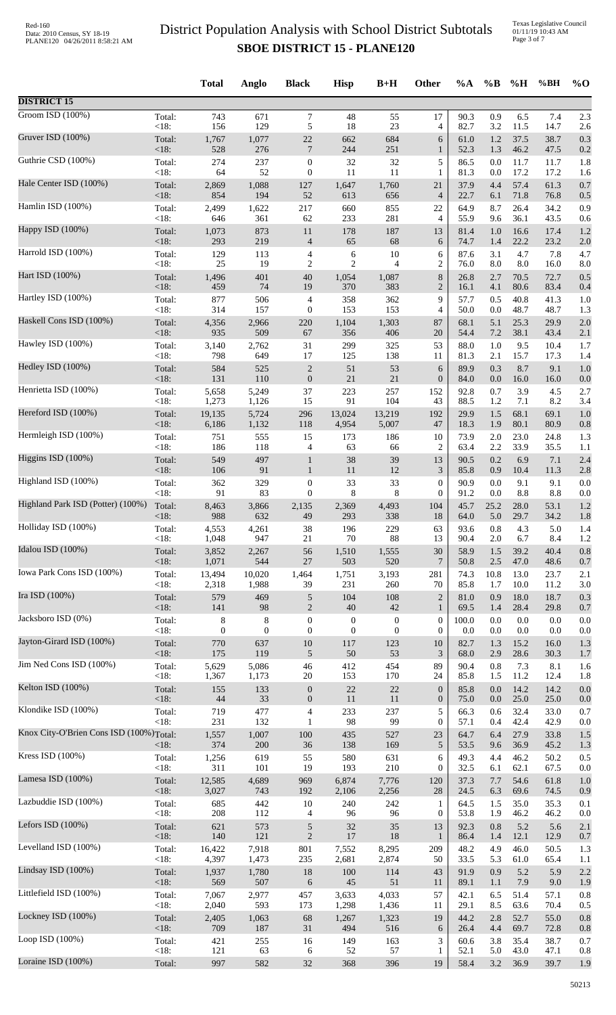|                                         |                | <b>Total</b>   | Anglo        | <b>Black</b>        | <b>Hisp</b>      | $B+H$            | Other            | $\%A$        | $\%$ B     | %H           | %BH          | $\%$ O     |
|-----------------------------------------|----------------|----------------|--------------|---------------------|------------------|------------------|------------------|--------------|------------|--------------|--------------|------------|
| <b>DISTRICT 15</b>                      |                |                |              |                     |                  |                  |                  |              |            |              |              |            |
| Groom ISD (100%)                        | Total:         | 743            | 671          | $\tau$              | 48               | 55               | 17               | 90.3         | 0.9        | 6.5          | 7.4          | 2.3        |
| Gruver ISD (100%)                       | <18:           | 156            | 129          | 5                   | 18               | 23               | $\overline{4}$   | 82.7         | 3.2        | 11.5         | 14.7         | 2.6        |
|                                         | Total:         | 1,767          | 1,077        | $22\,$              | 662              | 684              | 6                | 61.0         | 1.2        | 37.5         | 38.7         | 0.3        |
| Guthrie CSD (100%)                      | <18:           | 528            | 276          | $\overline{7}$      | 244              | 251              | 1                | 52.3         | 1.3        | 46.2         | 47.5         | 0.2        |
|                                         | Total:         | 274            | 237          | $\boldsymbol{0}$    | 32               | 32               | 5                | 86.5         | 0.0        | 11.7         | 11.7         | 1.8        |
|                                         | <18:           | 64             | 52           | $\boldsymbol{0}$    | 11               | 11               | $\mathbf{1}$     | 81.3         | 0.0        | 17.2         | 17.2         | 1.6        |
| Hale Center ISD (100%)                  | Total:         | 2,869          | 1,088        | 127                 | 1,647            | 1,760            | 21               | 37.9         | 4.4        | 57.4         | 61.3         | 0.7        |
|                                         | $<18$ :        | 854            | 194          | 52                  | 613              | 656              | $\overline{4}$   | 22.7         | 6.1        | 71.8         | 76.8         | 0.5        |
| Hamlin ISD (100%)                       | Total:         | 2,499          | 1,622        | 217                 | 660              | 855              | 22               | 64.9         | 8.7        | 26.4         | 34.2         | 0.9        |
|                                         | <18:           | 646            | 361          | 62                  | 233              | 281              | $\overline{4}$   | 55.9         | 9.6        | 36.1         | 43.5         | 0.6        |
| Happy ISD (100%)                        | Total:<br><18: | 1,073<br>293   | 873<br>219   | 11                  | 178<br>65        | 187<br>68        | 13               | 81.4         | 1.0        | 16.6         | 17.4<br>23.2 | 1.2        |
| Harrold ISD (100%)                      | Total:         | 129            | 113          | $\overline{4}$<br>4 | 6                | $10\,$           | 6<br>6           | 74.7<br>87.6 | 1.4<br>3.1 | 22.2<br>4.7  | 7.8          | 2.0<br>4.7 |
| Hart ISD (100%)                         | <18:           | 25             | 19           | $\overline{2}$      | $\overline{c}$   | $\overline{4}$   | $\overline{2}$   | 76.0         | 8.0        | 8.0          | 16.0         | 8.0        |
|                                         | Total:         | 1,496          | 401          | 40                  | 1,054            | 1,087            | 8                | 26.8         | 2.7        | 70.5         | 72.7         | 0.5        |
| Hartley ISD (100%)                      | $<18$ :        | 459            | 74           | 19                  | 370              | 383              | $\overline{2}$   | 16.1         | 4.1        | 80.6         | 83.4         | 0.4        |
|                                         | Total:         | 877            | 506          | $\overline{4}$      | 358              | 362              | 9                | 57.7         | 0.5        | 40.8         | 41.3         | 1.0        |
| Haskell Cons ISD (100%)                 | $<18$ :        | 314            | 157          | $\boldsymbol{0}$    | 153              | 153              | $\overline{4}$   | 50.0         | 0.0        | 48.7         | 48.7         | 1.3        |
|                                         | Total:         | 4,356          | 2,966        | 220                 | 1,104            | 1,303            | 87               | 68.1         | 5.1        | 25.3         | 29.9         | 2.0        |
|                                         | <18:           | 935            | 509          | 67                  | 356              | 406              | 20               | 54.4         | 7.2        | 38.1         | 43.4         | 2.1        |
| Hawley ISD (100%)                       | Total:         | 3,140          | 2,762        | 31                  | 299              | 325              | 53               | 88.0         | 1.0        | 9.5          | 10.4         | 1.7        |
|                                         | <18:           | 798            | 649          | 17                  | 125              | 138              | 11               | 81.3         | 2.1        | 15.7         | 17.3         | 1.4        |
| Hedley ISD (100%)                       | Total:         | 584            | 525          | $\sqrt{2}$          | 51               | 53               | 6                | 89.9         | 0.3        | 8.7          | 9.1          | 1.0        |
|                                         | <18:           | 131            | 110          | $\boldsymbol{0}$    | 21               | 21               | $\boldsymbol{0}$ | 84.0         | 0.0        | 16.0         | 16.0         | 0.0        |
| Henrietta ISD (100%)                    | Total:         | 5,658          | 5,249        | 37                  | 223              | 257              | 152              | 92.8         | 0.7        | 3.9          | 4.5          | 2.7        |
| Hereford ISD (100%)                     | <18:           | 1,273          | 1,126        | 15                  | 91               | 104              | 43               | 88.5         | 1.2        | 7.1          | 8.2          | 3.4        |
|                                         | Total:         | 19,135         | 5,724        | 296                 | 13,024           | 13,219           | 192              | 29.9         | 1.5        | 68.1         | 69.1         | 1.0        |
|                                         | <18:           | 6,186          | 1,132        | 118                 | 4,954            | 5,007            | 47               | 18.3         | 1.9        | 80.1         | 80.9         | 0.8        |
| Hermleigh ISD (100%)                    | Total:         | 751            | 555          | 15                  | 173              | 186              | 10               | 73.9         | 2.0        | 23.0         | 24.8         | 1.3        |
|                                         | <18:           | 186            | 118          | $\overline{4}$      | 63               | 66               | $\overline{2}$   | 63.4         | 2.2        | 33.9         | 35.5         | 1.1        |
| Higgins ISD (100%)                      | Total:         | 549            | 497          | $\mathbf{1}$        | $38\,$           | 39               | 13               | 90.5         | 0.2        | 6.9          | 7.1          | 2.4        |
|                                         | <18:           | 106            | 91           | $\mathbf{1}$        | 11               | 12               | $\mathfrak{Z}$   | 85.8         | 0.9        | 10.4         | 11.3         | 2.8        |
| Highland ISD (100%)                     | Total:         | 362            | 329          | $\boldsymbol{0}$    | 33               | 33               | $\boldsymbol{0}$ | 90.9         | $0.0\,$    | 9.1          | 9.1          | 0.0        |
| Highland Park ISD (Potter) (100%)       | <18:           | 91             | 83           | $\boldsymbol{0}$    | 8                | 8                | $\theta$         | 91.2         | 0.0        | 8.8          | 8.8          | 0.0        |
|                                         | Total:         | 8,463          | 3,866        | 2,135               | 2,369            | 4,493            | 104              | 45.7         | 25.2       | 28.0         | 53.1         | 1.2        |
| Holliday ISD (100%)                     | < 18:          | 988            | 632          | 49                  | 293              | 338              | 18               | 64.0         | 5.0        | 29.7         | 34.2         | 1.8        |
|                                         | Total:         | 4,553          | 4,261        | 38                  | 196              | 229              | 63               | 93.6         | 0.8        | 4.3          | 5.0          | 1.4        |
| Idalou ISD (100%)                       | <18:           | 1,048          | 947          | 21                  | 70               | 88               | 13               | 90.4         | 2.0        | 6.7          | 8.4          | 1.2        |
|                                         | Total:         | 3,852          | 2,267        | 56                  | 1,510            | 1,555            | 30               | 58.9         | 1.5        | 39.2         | 40.4         | 0.8        |
|                                         | < 18:          | 1,071          | 544          | $27\,$              | 503              | 520              | $\overline{7}$   | 50.8         | 2.5        | 47.0         | 48.6         | 0.7        |
| Iowa Park Cons ISD (100%)               | Total:         | 13,494         | 10,020       | 1,464               | 1,751            | 3,193            | 281              | 74.3         | 10.8       | 13.0         | 23.7         | 2.1        |
|                                         | <18:           | 2,318          | 1,988        | 39                  | 231              | 260              | 70               | 85.8         | 1.7        | 10.0         | 11.2         | 3.0        |
| Ira ISD (100%)                          | Total:         | 579            | 469          | $\sqrt{5}$          | 104              | 108              | $\overline{2}$   | 81.0         | 0.9        | 18.0         | 18.7         | 0.3        |
|                                         | $<18$ :        | 141            | 98           | $\mathbf{2}$        | 40               | 42               | $\mathbf{1}$     | 69.5         | 1.4        | 28.4         | 29.8         | 0.7        |
| Jacksboro ISD (0%)                      | Total:         | 8              | 8            | $\boldsymbol{0}$    | $\boldsymbol{0}$ | $\boldsymbol{0}$ | $\boldsymbol{0}$ | 100.0        | 0.0        | 0.0          | 0.0          | 0.0        |
| Jayton-Girard ISD (100%)                | $<18$ :        | $\overline{0}$ | $\theta$     | $\boldsymbol{0}$    | $\boldsymbol{0}$ | $\boldsymbol{0}$ | $\theta$         | 0.0          | 0.0        | 0.0          | 0.0          | 0.0        |
|                                         | Total:         | 770            | 637          | 10                  | 117              | 123              | 10               | 82.7         | 1.3        | 15.2         | 16.0         | 1.3        |
| Jim Ned Cons ISD (100%)                 | <18:           | 175            | 119          | $\sqrt{5}$          | $50\,$           | 53               | 3                | 68.0         | 2.9        | 28.6         | 30.3         | 1.7        |
|                                         | Total:         | 5,629          | 5,086        | 46                  | 412              | 454              | 89               | 90.4         | 0.8        | 7.3          | 8.1          | 1.6        |
| Kelton ISD (100%)                       | <18:           | 1,367          | 1,173        | 20                  | 153              | 170              | 24               | 85.8         | 1.5        | 11.2         | 12.4         | 1.8        |
|                                         | Total:         | 155            | 133          | $\boldsymbol{0}$    | $22\,$           | 22               | $\mathbf{0}$     | 85.8         | 0.0        | 14.2         | 14.2         | 0.0        |
|                                         | <18:           | 44             | 33           | $\mathbf{0}$        | 11               | 11               | $\mathbf{0}$     | 75.0         | 0.0        | 25.0         | 25.0         | 0.0        |
| Klondike ISD (100%)                     | Total:         | 719            | 477          | $\overline{4}$      | 233              | 237              | 5                | 66.3         | 0.6        | 32.4         | 33.0         | 0.7        |
|                                         | <18:           | 231            | 132          | $\mathbf{1}$        | 98               | 99               | $\boldsymbol{0}$ | 57.1         | 0.4        | 42.4         | 42.9         | 0.0        |
| Knox City-O'Brien Cons ISD (100%)Total: | $<18$ :        | 1,557<br>374   | 1,007<br>200 | 100<br>36           | 435<br>138       | 527<br>169       | 23<br>5          | 64.7<br>53.5 | 6.4<br>9.6 | 27.9<br>36.9 | 33.8<br>45.2 | 1.5<br>1.3 |
| Kress ISD (100%)                        | Total:         | 1,256          | 619          | 55                  | 580              | 631              | 6                | 49.3         | 4.4        | 46.2         | 50.2         | 0.5        |
| Lamesa ISD $(100\%)$                    | <18:           | 311            | 101          | 19                  | 193              | 210              | $\boldsymbol{0}$ | 32.5         | 6.1        | 62.1         | 67.5         | 0.0        |
|                                         | Total:         | 12,585         | 4,689        | 969                 | 6,874            | 7,776            | 120              | 37.3         | 7.7        | 54.6         | 61.8         | 1.0        |
| Lazbuddie ISD (100%)                    | <18:           | 3,027          | 743          | 192                 | 2,106            | 2,256            | 28               | 24.5         | 6.3        | 69.6         | 74.5         | 0.9        |
|                                         | Total:         | 685            | 442          | 10                  | 240              | 242              | $\mathbf{1}$     | 64.5         | 1.5        | 35.0         | 35.3         | 0.1        |
| Lefors ISD $(100\%)$                    | <18:           | 208            | 112          | 4                   | 96               | 96               | $\boldsymbol{0}$ | 53.8         | 1.9        | 46.2         | 46.2         | 0.0        |
|                                         | Total:         | 621            | 573          | $\sqrt{5}$          | 32               | 35               | 13               | 92.3         | 0.8        | 5.2          | 5.6          | 2.1        |
|                                         | $<18$ :        | 140            | 121          | $\sqrt{2}$          | 17               | 18               | $\mathbf{1}$     | 86.4         | 1.4        | 12.1         | 12.9         | 0.7        |
| Levelland ISD (100%)                    | Total:         | 16,422         | 7,918        | 801                 | 7,552            | 8,295            | 209              | 48.2         | 4.9        | 46.0         | 50.5         | 1.3        |
|                                         | <18:           | 4,397          | 1,473        | 235                 | 2,681            | 2,874            | 50               | 33.5         | 5.3        | 61.0         | 65.4         | 1.1        |
| Lindsay ISD (100%)                      | Total:         | 1,937          | 1,780        | 18                  | 100              | 114              | 43               | 91.9         | 0.9        | 5.2          | 5.9          | 2.2        |
|                                         | < 18:          | 569            | 507          | 6                   | 45               | 51               | 11               | 89.1         | 1.1        | 7.9          | 9.0          | 1.9        |
| Littlefield ISD (100%)                  | Total:         | 7,067          | 2,977        | 457                 | 3,633            | 4,033            | 57               | 42.1         | 6.5        | 51.4         | 57.1         | 0.8        |
| Lockney ISD (100%)                      | <18:           | 2,040          | 593          | 173                 | 1,298            | 1,436            | 11               | 29.1         | 8.5        | 63.6         | 70.4         | 0.5        |
|                                         | Total:         | 2,405          | 1,063        | 68                  | 1,267            | 1,323            | 19               | 44.2         | 2.8        | 52.7         | 55.0         | 0.8        |
| Loop ISD (100%)                         | <18:           | 709            | 187          | 31                  | 494              | 516              | 6                | 26.4         | 4.4        | 69.7         | 72.8         | 0.8        |
|                                         | Total:         | 421            | 255          | 16                  | 149              | 163              | 3                | 60.6         | 3.8        | 35.4         | 38.7         | 0.7        |
|                                         | <18:           | 121            | 63           | 6                   | 52               | 57               | 1                | 52.1         | 5.0        | 43.0         | 47.1         | 0.8        |
| Loraine ISD (100%)                      | Total:         | 997            | 582          | 32                  | 368              | 396              | 19               | 58.4         | 3.2        | 36.9         | 39.7         | 1.9        |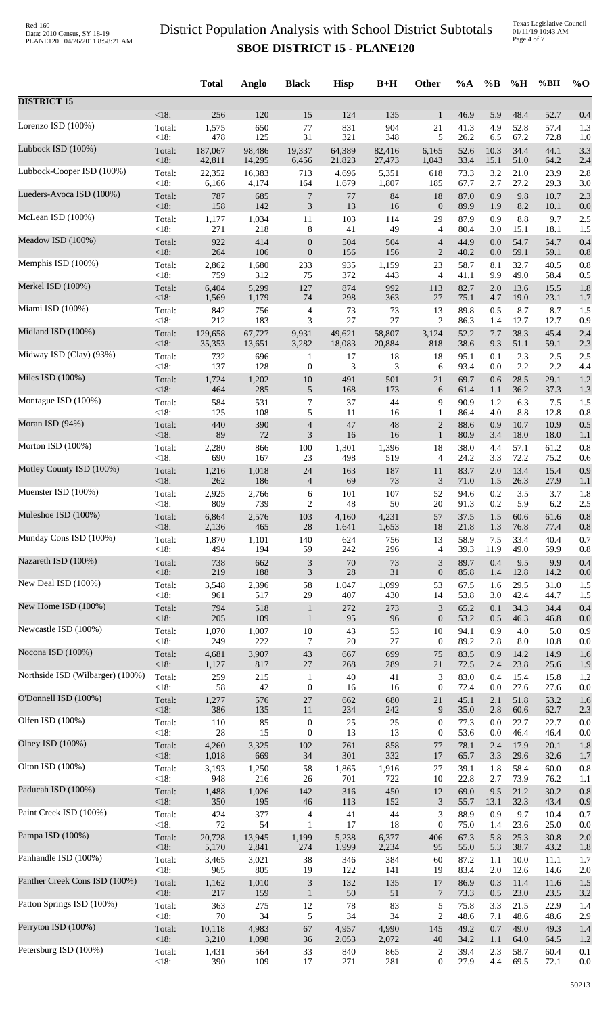| <b>DISTRICT 15</b><br>$<18$ :<br>256<br>120<br>$\overline{15}$<br>124<br>135<br>46.9<br>5.9<br>48.4<br>52.7<br>0.4<br>$\mathbf{1}$<br>Lorenzo ISD (100%)<br>831<br>904<br>4.9<br>52.8<br>57.4<br>1.3<br>Total:<br>1,575<br>650<br>$77$<br>21<br>41.3<br>478<br>31<br>321<br><18:<br>125<br>348<br>5<br>26.2<br>6.5<br>67.2<br>72.8<br>1.0<br>Lubbock ISD (100%)<br>34.4<br>Total:<br>187,067<br>19,337<br>64,389<br>82,416<br>52.6<br>10.3<br>44.1<br>3.3<br>98,486<br>6,165<br><18:<br>42,811<br>14,295<br>6,456<br>33.4<br>51.0<br>64.2<br>21,823<br>27,473<br>15.1<br>2.4<br>1,043<br>Lubbock-Cooper ISD (100%)<br>Total:<br>22,352<br>16,383<br>713<br>4,696<br>5,351<br>618<br>73.3<br>3.2<br>21.0<br>23.9<br>2.8<br><18:<br>1,679<br>2.7<br>27.2<br>29.3<br>6,166<br>4,174<br>164<br>1,807<br>67.7<br>3.0<br>185<br>Lueders-Avoca ISD (100%)<br>Total:<br>787<br>685<br>$\overline{7}$<br>77<br>84<br>18<br>87.0<br>0.9<br>9.8<br>10.7<br>2.3<br>142<br>$\ensuremath{\mathfrak{Z}}$<br>13<br>8.2<br><18:<br>158<br>16<br>89.9<br>1.9<br>$\boldsymbol{0}$<br>10.1<br>0.0<br>McLean ISD (100%)<br>1,034<br>103<br>87.9<br>0.9<br>8.8<br>9.7<br>2.5<br>Total:<br>1,177<br>11<br>114<br>29<br>49<br><18:<br>218<br>41<br>271<br>8<br>4<br>80.4<br>3.0<br>15.1<br>18.1<br>1.5<br>Meadow ISD (100%)<br>922<br>414<br>504<br>504<br>44.9<br>0.0<br>54.7<br>Total:<br>$\boldsymbol{0}$<br>$\overline{4}$<br>54.7<br>0.4<br><18:<br>106<br>156<br>$\overline{2}$<br>59.1<br>59.1<br>264<br>$\boldsymbol{0}$<br>156<br>40.2<br>0.0<br>0.8<br>Memphis ISD (100%)<br>1,680<br>233<br>935<br>58.7<br>8.1<br>32.7<br>40.5<br>Total:<br>2,862<br>1,159<br>23<br>0.8<br><18:<br>759<br>312<br>75<br>372<br>443<br>9.9<br>49.0<br>58.4<br>4<br>41.1<br>0.5<br>Merkel ISD (100%)<br>874<br>Total:<br>6,404<br>5,299<br>127<br>992<br>82.7<br>13.6<br>113<br>2.0<br>15.5<br>1.8<br>298<br>75.1<br>23.1<br>$<18$ :<br>1,569<br>1,179<br>74<br>363<br>27<br>4.7<br>19.0<br>1.7<br>Miami ISD (100%)<br>Total:<br>73<br>73<br>8.7<br>8.7<br>842<br>756<br>13<br>89.8<br>0.5<br>1.5<br>4<br>27<br><18:<br>212<br>183<br>27<br>$\overline{c}$<br>1.4<br>12.7<br>12.7<br>0.9<br>3<br>86.3<br>Midland ISD (100%)<br>Total:<br>49,621<br>52.2<br>7.7<br>38.3<br>45.4<br>2.4<br>129,658<br>67,727<br>9,931<br>58,807<br>3,124<br><18:<br>3,282<br>51.1<br>35,353<br>13,651<br>18,083<br>20,884<br>818<br>38.6<br>9.3<br>59.1<br>2.3<br>Midway ISD (Clay) (93%)<br>2.3<br>Total:<br>732<br>696<br>17<br>18<br>95.1<br>0.1<br>2.5<br>2.5<br>$\mathbf{1}$<br>18<br><18:<br>137<br>128<br>3<br>3<br>0.0<br>2.2<br>2.2<br>$\boldsymbol{0}$<br>93.4<br>4.4<br>6<br>Miles ISD (100%)<br>491<br>Total:<br>1,724<br>1,202<br>10<br>501<br>21<br>69.7<br>0.6<br>28.5<br>29.1<br>1.2<br><18:<br>464<br>285<br>$\sqrt{5}$<br>173<br>36.2<br>37.3<br>168<br>6<br>61.4<br>1.1<br>1.3<br>Montague ISD (100%)<br>$\boldsymbol{7}$<br>Total:<br>584<br>531<br>37<br>44<br>9<br>90.9<br>1.2<br>6.3<br>7.5<br>1.5<br><18:<br>125<br>108<br>5<br>11<br>16<br>4.0<br>8.8<br>12.8<br>86.4<br>0.8<br>1<br>Moran ISD (94%)<br>390<br>47<br>48<br>$\boldsymbol{2}$<br>10.7<br>Total:<br>440<br>88.6<br>0.9<br>10.9<br>0.5<br>$\overline{4}$<br>72<br>16<br><18:<br>89<br>$\mathfrak{Z}$<br>16<br>$\mathbf{1}$<br>3.4<br>18.0<br>18.0<br>80.9<br>1.1<br>Morton ISD (100%)<br>Total:<br>2,280<br>866<br>100<br>1,301<br>1,396<br>18<br>38.0<br>4.4<br>57.1<br>61.2<br>0.8<br>72.2<br><18:<br>690<br>167<br>498<br>3.3<br>75.2<br>23<br>519<br>4<br>24.2<br>0.6<br>Motley County ISD (100%)<br>83.7<br>13.4<br>Total:<br>1,216<br>1,018<br>24<br>163<br>187<br>2.0<br>15.4<br>0.9<br>11<br><18:<br>186<br>69<br>26.3<br>27.9<br>262<br>$\overline{4}$<br>73<br>3<br>71.0<br>1.5<br>1.1<br>Muenster ISD (100%)<br>2,925<br>2,766<br>101<br>107<br>94.6<br>0.2<br>3.5<br>Total:<br>6<br>52<br>3.7<br>1.8<br>50<br>0.2<br>5.9<br>$<18$ :<br>809<br>739<br>$\overline{c}$<br>48<br>20<br>91.3<br>6.2<br>2.5<br>Muleshoe ISD (100%)<br>57<br>37.5<br>1.5<br>0.8<br>Total:<br>6,864<br>2,576<br>103<br>4,160<br>4,231<br>60.6<br>61.6<br>18<br>0.8<br>$\leq$ 18:<br>2,136<br>465<br>28<br>1,641<br>1,653<br>21.8<br>1.3<br>76.8<br>T/0.4<br>Munday Cons ISD (100%)<br>33.4<br>1,870<br>140<br>624<br>58.9<br>40.4<br>Total:<br>1,101<br>756<br>13<br>7.5<br>0.7<br>194<br>242<br>$<18$ :<br>494<br>59<br>296<br>4<br>39.3<br>11.9<br>49.0<br>59.9<br>0.8<br>Nazareth ISD (100%)<br>$\mathfrak{Z}$<br>$\mathfrak{Z}$<br>89.7<br>0.4<br>9.9<br>Total:<br>738<br>662<br>70<br>73<br>9.5<br>0.4<br>28<br><18:<br>219<br>188<br>$\mathfrak{Z}$<br>31<br>$\boldsymbol{0}$<br>85.8<br>12.8<br>14.2<br>1.4<br>0.0<br>New Deal ISD (100%)<br>Total:<br>58<br>1,047<br>1,099<br>53<br>29.5<br>31.0<br>3,548<br>2,396<br>67.5<br>1.6<br>1.5<br><18:<br>517<br>29<br>407<br>42.4<br>961<br>430<br>14<br>53.8<br>3.0<br>44.7<br>1.5<br>New Home ISD (100%)<br>$\mathfrak{Z}$<br>Total:<br>794<br>518<br>$\mathbf{1}$<br>272<br>273<br>65.2<br>34.3<br>0.1<br>34.4<br>0.4<br>109<br>95<br>53.2<br>$<18$ :<br>205<br>$\mathbf{1}$<br>96<br>$\boldsymbol{0}$<br>0.5<br>46.3<br>46.8<br>0.0<br>Newcastle ISD (100%)<br>Total:<br>1,070<br>$10\,$<br>43<br>53<br>94.1<br>0.9<br>4.0<br>0.9<br>1,007<br>10<br>5.0<br><18:<br>249<br>222<br>7<br>$20\,$<br>27<br>89.2<br>2.8<br>$8.0\,$<br>10.8<br>$\mathbf{0}$<br>0.0<br>Nocona ISD (100%)<br>Total:<br>3,907<br>$43\,$<br>667<br>699<br>75<br>83.5<br>0.9<br>14.2<br>14.9<br>4,681<br>1.6<br><18:<br>289<br>23.8<br>1,127<br>817<br>27<br>268<br>21<br>72.5<br>2.4<br>25.6<br>1.9<br>Northside ISD (Wilbarger) (100%)<br>3<br>Total:<br>259<br>215<br>40<br>41<br>83.0<br>0.4<br>15.4<br>1.2<br>$\mathbf{1}$<br>15.8<br>< 18:<br>58<br>42<br>$\boldsymbol{0}$<br>16<br>16<br>$\mathbf{0}$<br>72.4<br>0.0<br>27.6<br>27.6<br>0.0<br>O'Donnell ISD (100%)<br>662<br>680<br>51.8<br>Total:<br>1,277<br>576<br>$27\,$<br>21<br>45.1<br>2.1<br>53.2<br>1.6<br><18:<br>386<br>135<br>234<br>242<br>9<br>35.0<br>2.8<br>60.6<br>62.7<br>11<br>2.3<br>Olfen ISD (100%)<br>$\boldsymbol{0}$<br>Total:<br>110<br>85<br>25<br>$\boldsymbol{0}$<br>77.3<br>0.0<br>22.7<br>0.0<br>25<br>22.7<br><18:<br>28<br>15<br>$\boldsymbol{0}$<br>13<br>13<br>53.6<br>46.4<br>$\boldsymbol{0}$<br>0.0<br>46.4<br>0.0<br>Olney ISD (100%)<br>3,325<br>102<br>78.1<br>Total:<br>4,260<br>761<br>858<br>77<br>2.4<br>17.9<br>20.1<br>1.8<br>301<br>332<br><18:<br>1,018<br>669<br>34<br>65.7<br>3.3<br>29.6<br>17<br>32.6<br>1.7<br>Olton ISD (100%)<br>1,865<br>39.1<br>1.8<br>58.4<br>Total:<br>3,193<br>1,250<br>58<br>1,916<br>27<br>60.0<br>0.8<br><18:<br>701<br>22.8<br>73.9<br>948<br>216<br>26<br>722<br>10<br>2.7<br>76.2<br>1.1<br>Paducah ISD (100%)<br>450<br>12<br>21.2<br>0.8<br>Total:<br>1,488<br>1,026<br>142<br>316<br>69.0<br>9.5<br>30.2<br><18:<br>195<br>3<br>32.3<br>350<br>46<br>113<br>152<br>55.7<br>13.1<br>43.4<br>0.9<br>Paint Creek ISD (100%)<br>3<br>88.9<br>Total:<br>424<br>377<br>41<br>44<br>0.9<br>9.7<br>$\overline{4}$<br>10.4<br>0.7<br><18:<br>72<br>54<br>17<br>18<br>$\boldsymbol{0}$<br>23.6<br>$\mathbf{1}$<br>75.0<br>1.4<br>25.0<br>0.0<br>Pampa ISD (100%)<br>Total:<br>5.8<br>30.8<br>20,728<br>13,945<br>1,199<br>5,238<br>6,377<br>406<br>67.3<br>25.3<br>2.0<br>2,841<br>1,999<br>38.7<br>$<18$ :<br>5,170<br>274<br>2,234<br>95<br>55.0<br>5.3<br>43.2<br>1.8<br>Panhandle ISD (100%)<br>Total:<br>3,021<br>346<br>384<br>87.2<br>10.0<br>3,465<br>38<br>1.1<br>11.1<br>1.7<br>60<br>< 18:<br>965<br>805<br>19<br>122<br>141<br>83.4<br>2.0<br>12.6<br>19<br>14.6<br>2.0<br>Panther Creek Cons ISD (100%)<br>$\ensuremath{\mathfrak{Z}}$<br>Total:<br>1,010<br>132<br>17<br>86.9<br>0.3<br>11.4<br>11.6<br>1.5<br>1,162<br>135<br><18:<br>217<br>50<br>51<br>$\overline{7}$<br>23.0<br>23.5<br>159<br>$\mathbf{1}$<br>73.3<br>0.5<br>3.2<br>Patton Springs ISD (100%)<br>83<br>5<br>Total:<br>363<br>275<br>12<br>78<br>75.8<br>3.3<br>21.5<br>22.9<br>1.4<br>34<br>$\mathfrak{2}$<br><18:<br>70<br>34<br>5<br>34<br>48.6<br>7.1<br>48.6<br>48.6<br>2.9<br>Perryton ISD (100%)<br>67<br>Total:<br>10,118<br>4,983<br>4,990<br>145<br>49.2<br>0.7<br>49.0<br>49.3<br>4,957<br>1.4<br>34.2<br>64.0<br>$<18$ :<br>3,210<br>1,098<br>36<br>2,053<br>2,072<br>40<br>1.1<br>64.5<br>1.2<br>Petersburg ISD (100%)<br>Total:<br>840<br>$\boldsymbol{2}$<br>58.7<br>1,431<br>564<br>33<br>865<br>39.4<br>2.3<br>60.4<br>0.1 |       | <b>Total</b> | Anglo | <b>Black</b> | <b>Hisp</b> | $B+H$ | <b>Other</b>     | $\%A$ | $\%B$ | %H   | %BH  | $%$ <sup>O</sup> |
|---------------------------------------------------------------------------------------------------------------------------------------------------------------------------------------------------------------------------------------------------------------------------------------------------------------------------------------------------------------------------------------------------------------------------------------------------------------------------------------------------------------------------------------------------------------------------------------------------------------------------------------------------------------------------------------------------------------------------------------------------------------------------------------------------------------------------------------------------------------------------------------------------------------------------------------------------------------------------------------------------------------------------------------------------------------------------------------------------------------------------------------------------------------------------------------------------------------------------------------------------------------------------------------------------------------------------------------------------------------------------------------------------------------------------------------------------------------------------------------------------------------------------------------------------------------------------------------------------------------------------------------------------------------------------------------------------------------------------------------------------------------------------------------------------------------------------------------------------------------------------------------------------------------------------------------------------------------------------------------------------------------------------------------------------------------------------------------------------------------------------------------------------------------------------------------------------------------------------------------------------------------------------------------------------------------------------------------------------------------------------------------------------------------------------------------------------------------------------------------------------------------------------------------------------------------------------------------------------------------------------------------------------------------------------------------------------------------------------------------------------------------------------------------------------------------------------------------------------------------------------------------------------------------------------------------------------------------------------------------------------------------------------------------------------------------------------------------------------------------------------------------------------------------------------------------------------------------------------------------------------------------------------------------------------------------------------------------------------------------------------------------------------------------------------------------------------------------------------------------------------------------------------------------------------------------------------------------------------------------------------------------------------------------------------------------------------------------------------------------------------------------------------------------------------------------------------------------------------------------------------------------------------------------------------------------------------------------------------------------------------------------------------------------------------------------------------------------------------------------------------------------------------------------------------------------------------------------------------------------------------------------------------------------------------------------------------------------------------------------------------------------------------------------------------------------------------------------------------------------------------------------------------------------------------------------------------------------------------------------------------------------------------------------------------------------------------------------------------------------------------------------------------------------------------------------------------------------------------------------------------------------------------------------------------------------------------------------------------------------------------------------------------------------------------------------------------------------------------------------------------------------------------------------------------------------------------------------------------------------------------------------------------------------------------------------------------------------------------------------------------------------------------------------------------------------------------------------------------------------------------------------------------------------------------------------------------------------------------------------------------------------------------------------------------------------------------------------------------------------------------------------------------------------------------------------------------------------------------------------------------------------------------------------------------------------------------------------------------------------------------------------------------------------------------------------------------------------------------------------------------------------------------------------------------------------------------------------------------------------------------------------------------------------------------------------------------------------------------------------------------------------------------------------------------------------------------------------------------------------------------------------------------------------------------------------------------------------------------------------------------------------------------------------------------------------------------------------------------------------------------------------------------------------------------------------------------------------------------------------------------------------------------------------------------------------------------------------------------------------------------------------------------------------------------------------------------------------------------------------------------------------------------------------------------------------------------------------------------------------------------------------------------------------------------------------------------------------------------------------------------------------------------------------------------------------------------------------------------------------------------------------------------------------------------------------------------------------------------------------------------------------------------------------------------------------------------------------------------------------------------------------------------------------------------------------------------------------------------------------------------------------------------------------------------------------------------------------------------------------------------------------------------------------------------------------------------------------------------------------------------------------------------------------------------------------------------------------------------------------------------------------------------------------------------------------------------------------------------------------------------------------------------------------------|-------|--------------|-------|--------------|-------------|-------|------------------|-------|-------|------|------|------------------|
|                                                                                                                                                                                                                                                                                                                                                                                                                                                                                                                                                                                                                                                                                                                                                                                                                                                                                                                                                                                                                                                                                                                                                                                                                                                                                                                                                                                                                                                                                                                                                                                                                                                                                                                                                                                                                                                                                                                                                                                                                                                                                                                                                                                                                                                                                                                                                                                                                                                                                                                                                                                                                                                                                                                                                                                                                                                                                                                                                                                                                                                                                                                                                                                                                                                                                                                                                                                                                                                                                                                                                                                                                                                                                                                                                                                                                                                                                                                                                                                                                                                                                                                                                                                                                                                                                                                                                                                                                                                                                                                                                                                                                                                                                                                                                                                                                                                                                                                                                                                                                                                                                                                                                                                                                                                                                                                                                                                                                                                                                                                                                                                                                                                                                                                                                                                                                                                                                                                                                                                                                                                                                                                                                                                                                                                                                                                                                                                                                                                                                                                                                                                                                                                                                                                                                                                                                                                                                                                                                                                                                                                                                                                                                                                                                                                                                                                                                                                                                                                                                                                                                                                                                                                                                                                                                                                                                                                                                                                                                                                                                                                                                                                                                                                                                                                                                                                                                                                                                     |       |              |       |              |             |       |                  |       |       |      |      |                  |
|                                                                                                                                                                                                                                                                                                                                                                                                                                                                                                                                                                                                                                                                                                                                                                                                                                                                                                                                                                                                                                                                                                                                                                                                                                                                                                                                                                                                                                                                                                                                                                                                                                                                                                                                                                                                                                                                                                                                                                                                                                                                                                                                                                                                                                                                                                                                                                                                                                                                                                                                                                                                                                                                                                                                                                                                                                                                                                                                                                                                                                                                                                                                                                                                                                                                                                                                                                                                                                                                                                                                                                                                                                                                                                                                                                                                                                                                                                                                                                                                                                                                                                                                                                                                                                                                                                                                                                                                                                                                                                                                                                                                                                                                                                                                                                                                                                                                                                                                                                                                                                                                                                                                                                                                                                                                                                                                                                                                                                                                                                                                                                                                                                                                                                                                                                                                                                                                                                                                                                                                                                                                                                                                                                                                                                                                                                                                                                                                                                                                                                                                                                                                                                                                                                                                                                                                                                                                                                                                                                                                                                                                                                                                                                                                                                                                                                                                                                                                                                                                                                                                                                                                                                                                                                                                                                                                                                                                                                                                                                                                                                                                                                                                                                                                                                                                                                                                                                                                                     |       |              |       |              |             |       |                  |       |       |      |      |                  |
|                                                                                                                                                                                                                                                                                                                                                                                                                                                                                                                                                                                                                                                                                                                                                                                                                                                                                                                                                                                                                                                                                                                                                                                                                                                                                                                                                                                                                                                                                                                                                                                                                                                                                                                                                                                                                                                                                                                                                                                                                                                                                                                                                                                                                                                                                                                                                                                                                                                                                                                                                                                                                                                                                                                                                                                                                                                                                                                                                                                                                                                                                                                                                                                                                                                                                                                                                                                                                                                                                                                                                                                                                                                                                                                                                                                                                                                                                                                                                                                                                                                                                                                                                                                                                                                                                                                                                                                                                                                                                                                                                                                                                                                                                                                                                                                                                                                                                                                                                                                                                                                                                                                                                                                                                                                                                                                                                                                                                                                                                                                                                                                                                                                                                                                                                                                                                                                                                                                                                                                                                                                                                                                                                                                                                                                                                                                                                                                                                                                                                                                                                                                                                                                                                                                                                                                                                                                                                                                                                                                                                                                                                                                                                                                                                                                                                                                                                                                                                                                                                                                                                                                                                                                                                                                                                                                                                                                                                                                                                                                                                                                                                                                                                                                                                                                                                                                                                                                                                     |       |              |       |              |             |       |                  |       |       |      |      |                  |
|                                                                                                                                                                                                                                                                                                                                                                                                                                                                                                                                                                                                                                                                                                                                                                                                                                                                                                                                                                                                                                                                                                                                                                                                                                                                                                                                                                                                                                                                                                                                                                                                                                                                                                                                                                                                                                                                                                                                                                                                                                                                                                                                                                                                                                                                                                                                                                                                                                                                                                                                                                                                                                                                                                                                                                                                                                                                                                                                                                                                                                                                                                                                                                                                                                                                                                                                                                                                                                                                                                                                                                                                                                                                                                                                                                                                                                                                                                                                                                                                                                                                                                                                                                                                                                                                                                                                                                                                                                                                                                                                                                                                                                                                                                                                                                                                                                                                                                                                                                                                                                                                                                                                                                                                                                                                                                                                                                                                                                                                                                                                                                                                                                                                                                                                                                                                                                                                                                                                                                                                                                                                                                                                                                                                                                                                                                                                                                                                                                                                                                                                                                                                                                                                                                                                                                                                                                                                                                                                                                                                                                                                                                                                                                                                                                                                                                                                                                                                                                                                                                                                                                                                                                                                                                                                                                                                                                                                                                                                                                                                                                                                                                                                                                                                                                                                                                                                                                                                                     |       |              |       |              |             |       |                  |       |       |      |      |                  |
|                                                                                                                                                                                                                                                                                                                                                                                                                                                                                                                                                                                                                                                                                                                                                                                                                                                                                                                                                                                                                                                                                                                                                                                                                                                                                                                                                                                                                                                                                                                                                                                                                                                                                                                                                                                                                                                                                                                                                                                                                                                                                                                                                                                                                                                                                                                                                                                                                                                                                                                                                                                                                                                                                                                                                                                                                                                                                                                                                                                                                                                                                                                                                                                                                                                                                                                                                                                                                                                                                                                                                                                                                                                                                                                                                                                                                                                                                                                                                                                                                                                                                                                                                                                                                                                                                                                                                                                                                                                                                                                                                                                                                                                                                                                                                                                                                                                                                                                                                                                                                                                                                                                                                                                                                                                                                                                                                                                                                                                                                                                                                                                                                                                                                                                                                                                                                                                                                                                                                                                                                                                                                                                                                                                                                                                                                                                                                                                                                                                                                                                                                                                                                                                                                                                                                                                                                                                                                                                                                                                                                                                                                                                                                                                                                                                                                                                                                                                                                                                                                                                                                                                                                                                                                                                                                                                                                                                                                                                                                                                                                                                                                                                                                                                                                                                                                                                                                                                                                     |       |              |       |              |             |       |                  |       |       |      |      |                  |
|                                                                                                                                                                                                                                                                                                                                                                                                                                                                                                                                                                                                                                                                                                                                                                                                                                                                                                                                                                                                                                                                                                                                                                                                                                                                                                                                                                                                                                                                                                                                                                                                                                                                                                                                                                                                                                                                                                                                                                                                                                                                                                                                                                                                                                                                                                                                                                                                                                                                                                                                                                                                                                                                                                                                                                                                                                                                                                                                                                                                                                                                                                                                                                                                                                                                                                                                                                                                                                                                                                                                                                                                                                                                                                                                                                                                                                                                                                                                                                                                                                                                                                                                                                                                                                                                                                                                                                                                                                                                                                                                                                                                                                                                                                                                                                                                                                                                                                                                                                                                                                                                                                                                                                                                                                                                                                                                                                                                                                                                                                                                                                                                                                                                                                                                                                                                                                                                                                                                                                                                                                                                                                                                                                                                                                                                                                                                                                                                                                                                                                                                                                                                                                                                                                                                                                                                                                                                                                                                                                                                                                                                                                                                                                                                                                                                                                                                                                                                                                                                                                                                                                                                                                                                                                                                                                                                                                                                                                                                                                                                                                                                                                                                                                                                                                                                                                                                                                                                                     |       |              |       |              |             |       |                  |       |       |      |      |                  |
|                                                                                                                                                                                                                                                                                                                                                                                                                                                                                                                                                                                                                                                                                                                                                                                                                                                                                                                                                                                                                                                                                                                                                                                                                                                                                                                                                                                                                                                                                                                                                                                                                                                                                                                                                                                                                                                                                                                                                                                                                                                                                                                                                                                                                                                                                                                                                                                                                                                                                                                                                                                                                                                                                                                                                                                                                                                                                                                                                                                                                                                                                                                                                                                                                                                                                                                                                                                                                                                                                                                                                                                                                                                                                                                                                                                                                                                                                                                                                                                                                                                                                                                                                                                                                                                                                                                                                                                                                                                                                                                                                                                                                                                                                                                                                                                                                                                                                                                                                                                                                                                                                                                                                                                                                                                                                                                                                                                                                                                                                                                                                                                                                                                                                                                                                                                                                                                                                                                                                                                                                                                                                                                                                                                                                                                                                                                                                                                                                                                                                                                                                                                                                                                                                                                                                                                                                                                                                                                                                                                                                                                                                                                                                                                                                                                                                                                                                                                                                                                                                                                                                                                                                                                                                                                                                                                                                                                                                                                                                                                                                                                                                                                                                                                                                                                                                                                                                                                                                     |       |              |       |              |             |       |                  |       |       |      |      |                  |
|                                                                                                                                                                                                                                                                                                                                                                                                                                                                                                                                                                                                                                                                                                                                                                                                                                                                                                                                                                                                                                                                                                                                                                                                                                                                                                                                                                                                                                                                                                                                                                                                                                                                                                                                                                                                                                                                                                                                                                                                                                                                                                                                                                                                                                                                                                                                                                                                                                                                                                                                                                                                                                                                                                                                                                                                                                                                                                                                                                                                                                                                                                                                                                                                                                                                                                                                                                                                                                                                                                                                                                                                                                                                                                                                                                                                                                                                                                                                                                                                                                                                                                                                                                                                                                                                                                                                                                                                                                                                                                                                                                                                                                                                                                                                                                                                                                                                                                                                                                                                                                                                                                                                                                                                                                                                                                                                                                                                                                                                                                                                                                                                                                                                                                                                                                                                                                                                                                                                                                                                                                                                                                                                                                                                                                                                                                                                                                                                                                                                                                                                                                                                                                                                                                                                                                                                                                                                                                                                                                                                                                                                                                                                                                                                                                                                                                                                                                                                                                                                                                                                                                                                                                                                                                                                                                                                                                                                                                                                                                                                                                                                                                                                                                                                                                                                                                                                                                                                                     |       |              |       |              |             |       |                  |       |       |      |      |                  |
|                                                                                                                                                                                                                                                                                                                                                                                                                                                                                                                                                                                                                                                                                                                                                                                                                                                                                                                                                                                                                                                                                                                                                                                                                                                                                                                                                                                                                                                                                                                                                                                                                                                                                                                                                                                                                                                                                                                                                                                                                                                                                                                                                                                                                                                                                                                                                                                                                                                                                                                                                                                                                                                                                                                                                                                                                                                                                                                                                                                                                                                                                                                                                                                                                                                                                                                                                                                                                                                                                                                                                                                                                                                                                                                                                                                                                                                                                                                                                                                                                                                                                                                                                                                                                                                                                                                                                                                                                                                                                                                                                                                                                                                                                                                                                                                                                                                                                                                                                                                                                                                                                                                                                                                                                                                                                                                                                                                                                                                                                                                                                                                                                                                                                                                                                                                                                                                                                                                                                                                                                                                                                                                                                                                                                                                                                                                                                                                                                                                                                                                                                                                                                                                                                                                                                                                                                                                                                                                                                                                                                                                                                                                                                                                                                                                                                                                                                                                                                                                                                                                                                                                                                                                                                                                                                                                                                                                                                                                                                                                                                                                                                                                                                                                                                                                                                                                                                                                                                     |       |              |       |              |             |       |                  |       |       |      |      |                  |
|                                                                                                                                                                                                                                                                                                                                                                                                                                                                                                                                                                                                                                                                                                                                                                                                                                                                                                                                                                                                                                                                                                                                                                                                                                                                                                                                                                                                                                                                                                                                                                                                                                                                                                                                                                                                                                                                                                                                                                                                                                                                                                                                                                                                                                                                                                                                                                                                                                                                                                                                                                                                                                                                                                                                                                                                                                                                                                                                                                                                                                                                                                                                                                                                                                                                                                                                                                                                                                                                                                                                                                                                                                                                                                                                                                                                                                                                                                                                                                                                                                                                                                                                                                                                                                                                                                                                                                                                                                                                                                                                                                                                                                                                                                                                                                                                                                                                                                                                                                                                                                                                                                                                                                                                                                                                                                                                                                                                                                                                                                                                                                                                                                                                                                                                                                                                                                                                                                                                                                                                                                                                                                                                                                                                                                                                                                                                                                                                                                                                                                                                                                                                                                                                                                                                                                                                                                                                                                                                                                                                                                                                                                                                                                                                                                                                                                                                                                                                                                                                                                                                                                                                                                                                                                                                                                                                                                                                                                                                                                                                                                                                                                                                                                                                                                                                                                                                                                                                                     |       |              |       |              |             |       |                  |       |       |      |      |                  |
|                                                                                                                                                                                                                                                                                                                                                                                                                                                                                                                                                                                                                                                                                                                                                                                                                                                                                                                                                                                                                                                                                                                                                                                                                                                                                                                                                                                                                                                                                                                                                                                                                                                                                                                                                                                                                                                                                                                                                                                                                                                                                                                                                                                                                                                                                                                                                                                                                                                                                                                                                                                                                                                                                                                                                                                                                                                                                                                                                                                                                                                                                                                                                                                                                                                                                                                                                                                                                                                                                                                                                                                                                                                                                                                                                                                                                                                                                                                                                                                                                                                                                                                                                                                                                                                                                                                                                                                                                                                                                                                                                                                                                                                                                                                                                                                                                                                                                                                                                                                                                                                                                                                                                                                                                                                                                                                                                                                                                                                                                                                                                                                                                                                                                                                                                                                                                                                                                                                                                                                                                                                                                                                                                                                                                                                                                                                                                                                                                                                                                                                                                                                                                                                                                                                                                                                                                                                                                                                                                                                                                                                                                                                                                                                                                                                                                                                                                                                                                                                                                                                                                                                                                                                                                                                                                                                                                                                                                                                                                                                                                                                                                                                                                                                                                                                                                                                                                                                                                     |       |              |       |              |             |       |                  |       |       |      |      |                  |
|                                                                                                                                                                                                                                                                                                                                                                                                                                                                                                                                                                                                                                                                                                                                                                                                                                                                                                                                                                                                                                                                                                                                                                                                                                                                                                                                                                                                                                                                                                                                                                                                                                                                                                                                                                                                                                                                                                                                                                                                                                                                                                                                                                                                                                                                                                                                                                                                                                                                                                                                                                                                                                                                                                                                                                                                                                                                                                                                                                                                                                                                                                                                                                                                                                                                                                                                                                                                                                                                                                                                                                                                                                                                                                                                                                                                                                                                                                                                                                                                                                                                                                                                                                                                                                                                                                                                                                                                                                                                                                                                                                                                                                                                                                                                                                                                                                                                                                                                                                                                                                                                                                                                                                                                                                                                                                                                                                                                                                                                                                                                                                                                                                                                                                                                                                                                                                                                                                                                                                                                                                                                                                                                                                                                                                                                                                                                                                                                                                                                                                                                                                                                                                                                                                                                                                                                                                                                                                                                                                                                                                                                                                                                                                                                                                                                                                                                                                                                                                                                                                                                                                                                                                                                                                                                                                                                                                                                                                                                                                                                                                                                                                                                                                                                                                                                                                                                                                                                                     |       |              |       |              |             |       |                  |       |       |      |      |                  |
|                                                                                                                                                                                                                                                                                                                                                                                                                                                                                                                                                                                                                                                                                                                                                                                                                                                                                                                                                                                                                                                                                                                                                                                                                                                                                                                                                                                                                                                                                                                                                                                                                                                                                                                                                                                                                                                                                                                                                                                                                                                                                                                                                                                                                                                                                                                                                                                                                                                                                                                                                                                                                                                                                                                                                                                                                                                                                                                                                                                                                                                                                                                                                                                                                                                                                                                                                                                                                                                                                                                                                                                                                                                                                                                                                                                                                                                                                                                                                                                                                                                                                                                                                                                                                                                                                                                                                                                                                                                                                                                                                                                                                                                                                                                                                                                                                                                                                                                                                                                                                                                                                                                                                                                                                                                                                                                                                                                                                                                                                                                                                                                                                                                                                                                                                                                                                                                                                                                                                                                                                                                                                                                                                                                                                                                                                                                                                                                                                                                                                                                                                                                                                                                                                                                                                                                                                                                                                                                                                                                                                                                                                                                                                                                                                                                                                                                                                                                                                                                                                                                                                                                                                                                                                                                                                                                                                                                                                                                                                                                                                                                                                                                                                                                                                                                                                                                                                                                                                     |       |              |       |              |             |       |                  |       |       |      |      |                  |
|                                                                                                                                                                                                                                                                                                                                                                                                                                                                                                                                                                                                                                                                                                                                                                                                                                                                                                                                                                                                                                                                                                                                                                                                                                                                                                                                                                                                                                                                                                                                                                                                                                                                                                                                                                                                                                                                                                                                                                                                                                                                                                                                                                                                                                                                                                                                                                                                                                                                                                                                                                                                                                                                                                                                                                                                                                                                                                                                                                                                                                                                                                                                                                                                                                                                                                                                                                                                                                                                                                                                                                                                                                                                                                                                                                                                                                                                                                                                                                                                                                                                                                                                                                                                                                                                                                                                                                                                                                                                                                                                                                                                                                                                                                                                                                                                                                                                                                                                                                                                                                                                                                                                                                                                                                                                                                                                                                                                                                                                                                                                                                                                                                                                                                                                                                                                                                                                                                                                                                                                                                                                                                                                                                                                                                                                                                                                                                                                                                                                                                                                                                                                                                                                                                                                                                                                                                                                                                                                                                                                                                                                                                                                                                                                                                                                                                                                                                                                                                                                                                                                                                                                                                                                                                                                                                                                                                                                                                                                                                                                                                                                                                                                                                                                                                                                                                                                                                                                                     |       |              |       |              |             |       |                  |       |       |      |      |                  |
|                                                                                                                                                                                                                                                                                                                                                                                                                                                                                                                                                                                                                                                                                                                                                                                                                                                                                                                                                                                                                                                                                                                                                                                                                                                                                                                                                                                                                                                                                                                                                                                                                                                                                                                                                                                                                                                                                                                                                                                                                                                                                                                                                                                                                                                                                                                                                                                                                                                                                                                                                                                                                                                                                                                                                                                                                                                                                                                                                                                                                                                                                                                                                                                                                                                                                                                                                                                                                                                                                                                                                                                                                                                                                                                                                                                                                                                                                                                                                                                                                                                                                                                                                                                                                                                                                                                                                                                                                                                                                                                                                                                                                                                                                                                                                                                                                                                                                                                                                                                                                                                                                                                                                                                                                                                                                                                                                                                                                                                                                                                                                                                                                                                                                                                                                                                                                                                                                                                                                                                                                                                                                                                                                                                                                                                                                                                                                                                                                                                                                                                                                                                                                                                                                                                                                                                                                                                                                                                                                                                                                                                                                                                                                                                                                                                                                                                                                                                                                                                                                                                                                                                                                                                                                                                                                                                                                                                                                                                                                                                                                                                                                                                                                                                                                                                                                                                                                                                                                     |       |              |       |              |             |       |                  |       |       |      |      |                  |
|                                                                                                                                                                                                                                                                                                                                                                                                                                                                                                                                                                                                                                                                                                                                                                                                                                                                                                                                                                                                                                                                                                                                                                                                                                                                                                                                                                                                                                                                                                                                                                                                                                                                                                                                                                                                                                                                                                                                                                                                                                                                                                                                                                                                                                                                                                                                                                                                                                                                                                                                                                                                                                                                                                                                                                                                                                                                                                                                                                                                                                                                                                                                                                                                                                                                                                                                                                                                                                                                                                                                                                                                                                                                                                                                                                                                                                                                                                                                                                                                                                                                                                                                                                                                                                                                                                                                                                                                                                                                                                                                                                                                                                                                                                                                                                                                                                                                                                                                                                                                                                                                                                                                                                                                                                                                                                                                                                                                                                                                                                                                                                                                                                                                                                                                                                                                                                                                                                                                                                                                                                                                                                                                                                                                                                                                                                                                                                                                                                                                                                                                                                                                                                                                                                                                                                                                                                                                                                                                                                                                                                                                                                                                                                                                                                                                                                                                                                                                                                                                                                                                                                                                                                                                                                                                                                                                                                                                                                                                                                                                                                                                                                                                                                                                                                                                                                                                                                                                                     |       |              |       |              |             |       |                  |       |       |      |      |                  |
|                                                                                                                                                                                                                                                                                                                                                                                                                                                                                                                                                                                                                                                                                                                                                                                                                                                                                                                                                                                                                                                                                                                                                                                                                                                                                                                                                                                                                                                                                                                                                                                                                                                                                                                                                                                                                                                                                                                                                                                                                                                                                                                                                                                                                                                                                                                                                                                                                                                                                                                                                                                                                                                                                                                                                                                                                                                                                                                                                                                                                                                                                                                                                                                                                                                                                                                                                                                                                                                                                                                                                                                                                                                                                                                                                                                                                                                                                                                                                                                                                                                                                                                                                                                                                                                                                                                                                                                                                                                                                                                                                                                                                                                                                                                                                                                                                                                                                                                                                                                                                                                                                                                                                                                                                                                                                                                                                                                                                                                                                                                                                                                                                                                                                                                                                                                                                                                                                                                                                                                                                                                                                                                                                                                                                                                                                                                                                                                                                                                                                                                                                                                                                                                                                                                                                                                                                                                                                                                                                                                                                                                                                                                                                                                                                                                                                                                                                                                                                                                                                                                                                                                                                                                                                                                                                                                                                                                                                                                                                                                                                                                                                                                                                                                                                                                                                                                                                                                                                     |       |              |       |              |             |       |                  |       |       |      |      |                  |
|                                                                                                                                                                                                                                                                                                                                                                                                                                                                                                                                                                                                                                                                                                                                                                                                                                                                                                                                                                                                                                                                                                                                                                                                                                                                                                                                                                                                                                                                                                                                                                                                                                                                                                                                                                                                                                                                                                                                                                                                                                                                                                                                                                                                                                                                                                                                                                                                                                                                                                                                                                                                                                                                                                                                                                                                                                                                                                                                                                                                                                                                                                                                                                                                                                                                                                                                                                                                                                                                                                                                                                                                                                                                                                                                                                                                                                                                                                                                                                                                                                                                                                                                                                                                                                                                                                                                                                                                                                                                                                                                                                                                                                                                                                                                                                                                                                                                                                                                                                                                                                                                                                                                                                                                                                                                                                                                                                                                                                                                                                                                                                                                                                                                                                                                                                                                                                                                                                                                                                                                                                                                                                                                                                                                                                                                                                                                                                                                                                                                                                                                                                                                                                                                                                                                                                                                                                                                                                                                                                                                                                                                                                                                                                                                                                                                                                                                                                                                                                                                                                                                                                                                                                                                                                                                                                                                                                                                                                                                                                                                                                                                                                                                                                                                                                                                                                                                                                                                                     |       |              |       |              |             |       |                  |       |       |      |      |                  |
|                                                                                                                                                                                                                                                                                                                                                                                                                                                                                                                                                                                                                                                                                                                                                                                                                                                                                                                                                                                                                                                                                                                                                                                                                                                                                                                                                                                                                                                                                                                                                                                                                                                                                                                                                                                                                                                                                                                                                                                                                                                                                                                                                                                                                                                                                                                                                                                                                                                                                                                                                                                                                                                                                                                                                                                                                                                                                                                                                                                                                                                                                                                                                                                                                                                                                                                                                                                                                                                                                                                                                                                                                                                                                                                                                                                                                                                                                                                                                                                                                                                                                                                                                                                                                                                                                                                                                                                                                                                                                                                                                                                                                                                                                                                                                                                                                                                                                                                                                                                                                                                                                                                                                                                                                                                                                                                                                                                                                                                                                                                                                                                                                                                                                                                                                                                                                                                                                                                                                                                                                                                                                                                                                                                                                                                                                                                                                                                                                                                                                                                                                                                                                                                                                                                                                                                                                                                                                                                                                                                                                                                                                                                                                                                                                                                                                                                                                                                                                                                                                                                                                                                                                                                                                                                                                                                                                                                                                                                                                                                                                                                                                                                                                                                                                                                                                                                                                                                                                     |       |              |       |              |             |       |                  |       |       |      |      |                  |
|                                                                                                                                                                                                                                                                                                                                                                                                                                                                                                                                                                                                                                                                                                                                                                                                                                                                                                                                                                                                                                                                                                                                                                                                                                                                                                                                                                                                                                                                                                                                                                                                                                                                                                                                                                                                                                                                                                                                                                                                                                                                                                                                                                                                                                                                                                                                                                                                                                                                                                                                                                                                                                                                                                                                                                                                                                                                                                                                                                                                                                                                                                                                                                                                                                                                                                                                                                                                                                                                                                                                                                                                                                                                                                                                                                                                                                                                                                                                                                                                                                                                                                                                                                                                                                                                                                                                                                                                                                                                                                                                                                                                                                                                                                                                                                                                                                                                                                                                                                                                                                                                                                                                                                                                                                                                                                                                                                                                                                                                                                                                                                                                                                                                                                                                                                                                                                                                                                                                                                                                                                                                                                                                                                                                                                                                                                                                                                                                                                                                                                                                                                                                                                                                                                                                                                                                                                                                                                                                                                                                                                                                                                                                                                                                                                                                                                                                                                                                                                                                                                                                                                                                                                                                                                                                                                                                                                                                                                                                                                                                                                                                                                                                                                                                                                                                                                                                                                                                                     |       |              |       |              |             |       |                  |       |       |      |      |                  |
|                                                                                                                                                                                                                                                                                                                                                                                                                                                                                                                                                                                                                                                                                                                                                                                                                                                                                                                                                                                                                                                                                                                                                                                                                                                                                                                                                                                                                                                                                                                                                                                                                                                                                                                                                                                                                                                                                                                                                                                                                                                                                                                                                                                                                                                                                                                                                                                                                                                                                                                                                                                                                                                                                                                                                                                                                                                                                                                                                                                                                                                                                                                                                                                                                                                                                                                                                                                                                                                                                                                                                                                                                                                                                                                                                                                                                                                                                                                                                                                                                                                                                                                                                                                                                                                                                                                                                                                                                                                                                                                                                                                                                                                                                                                                                                                                                                                                                                                                                                                                                                                                                                                                                                                                                                                                                                                                                                                                                                                                                                                                                                                                                                                                                                                                                                                                                                                                                                                                                                                                                                                                                                                                                                                                                                                                                                                                                                                                                                                                                                                                                                                                                                                                                                                                                                                                                                                                                                                                                                                                                                                                                                                                                                                                                                                                                                                                                                                                                                                                                                                                                                                                                                                                                                                                                                                                                                                                                                                                                                                                                                                                                                                                                                                                                                                                                                                                                                                                                     |       |              |       |              |             |       |                  |       |       |      |      |                  |
|                                                                                                                                                                                                                                                                                                                                                                                                                                                                                                                                                                                                                                                                                                                                                                                                                                                                                                                                                                                                                                                                                                                                                                                                                                                                                                                                                                                                                                                                                                                                                                                                                                                                                                                                                                                                                                                                                                                                                                                                                                                                                                                                                                                                                                                                                                                                                                                                                                                                                                                                                                                                                                                                                                                                                                                                                                                                                                                                                                                                                                                                                                                                                                                                                                                                                                                                                                                                                                                                                                                                                                                                                                                                                                                                                                                                                                                                                                                                                                                                                                                                                                                                                                                                                                                                                                                                                                                                                                                                                                                                                                                                                                                                                                                                                                                                                                                                                                                                                                                                                                                                                                                                                                                                                                                                                                                                                                                                                                                                                                                                                                                                                                                                                                                                                                                                                                                                                                                                                                                                                                                                                                                                                                                                                                                                                                                                                                                                                                                                                                                                                                                                                                                                                                                                                                                                                                                                                                                                                                                                                                                                                                                                                                                                                                                                                                                                                                                                                                                                                                                                                                                                                                                                                                                                                                                                                                                                                                                                                                                                                                                                                                                                                                                                                                                                                                                                                                                                                     |       |              |       |              |             |       |                  |       |       |      |      |                  |
|                                                                                                                                                                                                                                                                                                                                                                                                                                                                                                                                                                                                                                                                                                                                                                                                                                                                                                                                                                                                                                                                                                                                                                                                                                                                                                                                                                                                                                                                                                                                                                                                                                                                                                                                                                                                                                                                                                                                                                                                                                                                                                                                                                                                                                                                                                                                                                                                                                                                                                                                                                                                                                                                                                                                                                                                                                                                                                                                                                                                                                                                                                                                                                                                                                                                                                                                                                                                                                                                                                                                                                                                                                                                                                                                                                                                                                                                                                                                                                                                                                                                                                                                                                                                                                                                                                                                                                                                                                                                                                                                                                                                                                                                                                                                                                                                                                                                                                                                                                                                                                                                                                                                                                                                                                                                                                                                                                                                                                                                                                                                                                                                                                                                                                                                                                                                                                                                                                                                                                                                                                                                                                                                                                                                                                                                                                                                                                                                                                                                                                                                                                                                                                                                                                                                                                                                                                                                                                                                                                                                                                                                                                                                                                                                                                                                                                                                                                                                                                                                                                                                                                                                                                                                                                                                                                                                                                                                                                                                                                                                                                                                                                                                                                                                                                                                                                                                                                                                                     |       |              |       |              |             |       |                  |       |       |      |      |                  |
|                                                                                                                                                                                                                                                                                                                                                                                                                                                                                                                                                                                                                                                                                                                                                                                                                                                                                                                                                                                                                                                                                                                                                                                                                                                                                                                                                                                                                                                                                                                                                                                                                                                                                                                                                                                                                                                                                                                                                                                                                                                                                                                                                                                                                                                                                                                                                                                                                                                                                                                                                                                                                                                                                                                                                                                                                                                                                                                                                                                                                                                                                                                                                                                                                                                                                                                                                                                                                                                                                                                                                                                                                                                                                                                                                                                                                                                                                                                                                                                                                                                                                                                                                                                                                                                                                                                                                                                                                                                                                                                                                                                                                                                                                                                                                                                                                                                                                                                                                                                                                                                                                                                                                                                                                                                                                                                                                                                                                                                                                                                                                                                                                                                                                                                                                                                                                                                                                                                                                                                                                                                                                                                                                                                                                                                                                                                                                                                                                                                                                                                                                                                                                                                                                                                                                                                                                                                                                                                                                                                                                                                                                                                                                                                                                                                                                                                                                                                                                                                                                                                                                                                                                                                                                                                                                                                                                                                                                                                                                                                                                                                                                                                                                                                                                                                                                                                                                                                                                     |       |              |       |              |             |       |                  |       |       |      |      |                  |
|                                                                                                                                                                                                                                                                                                                                                                                                                                                                                                                                                                                                                                                                                                                                                                                                                                                                                                                                                                                                                                                                                                                                                                                                                                                                                                                                                                                                                                                                                                                                                                                                                                                                                                                                                                                                                                                                                                                                                                                                                                                                                                                                                                                                                                                                                                                                                                                                                                                                                                                                                                                                                                                                                                                                                                                                                                                                                                                                                                                                                                                                                                                                                                                                                                                                                                                                                                                                                                                                                                                                                                                                                                                                                                                                                                                                                                                                                                                                                                                                                                                                                                                                                                                                                                                                                                                                                                                                                                                                                                                                                                                                                                                                                                                                                                                                                                                                                                                                                                                                                                                                                                                                                                                                                                                                                                                                                                                                                                                                                                                                                                                                                                                                                                                                                                                                                                                                                                                                                                                                                                                                                                                                                                                                                                                                                                                                                                                                                                                                                                                                                                                                                                                                                                                                                                                                                                                                                                                                                                                                                                                                                                                                                                                                                                                                                                                                                                                                                                                                                                                                                                                                                                                                                                                                                                                                                                                                                                                                                                                                                                                                                                                                                                                                                                                                                                                                                                                                                     |       |              |       |              |             |       |                  |       |       |      |      |                  |
|                                                                                                                                                                                                                                                                                                                                                                                                                                                                                                                                                                                                                                                                                                                                                                                                                                                                                                                                                                                                                                                                                                                                                                                                                                                                                                                                                                                                                                                                                                                                                                                                                                                                                                                                                                                                                                                                                                                                                                                                                                                                                                                                                                                                                                                                                                                                                                                                                                                                                                                                                                                                                                                                                                                                                                                                                                                                                                                                                                                                                                                                                                                                                                                                                                                                                                                                                                                                                                                                                                                                                                                                                                                                                                                                                                                                                                                                                                                                                                                                                                                                                                                                                                                                                                                                                                                                                                                                                                                                                                                                                                                                                                                                                                                                                                                                                                                                                                                                                                                                                                                                                                                                                                                                                                                                                                                                                                                                                                                                                                                                                                                                                                                                                                                                                                                                                                                                                                                                                                                                                                                                                                                                                                                                                                                                                                                                                                                                                                                                                                                                                                                                                                                                                                                                                                                                                                                                                                                                                                                                                                                                                                                                                                                                                                                                                                                                                                                                                                                                                                                                                                                                                                                                                                                                                                                                                                                                                                                                                                                                                                                                                                                                                                                                                                                                                                                                                                                                                     |       |              |       |              |             |       |                  |       |       |      |      |                  |
|                                                                                                                                                                                                                                                                                                                                                                                                                                                                                                                                                                                                                                                                                                                                                                                                                                                                                                                                                                                                                                                                                                                                                                                                                                                                                                                                                                                                                                                                                                                                                                                                                                                                                                                                                                                                                                                                                                                                                                                                                                                                                                                                                                                                                                                                                                                                                                                                                                                                                                                                                                                                                                                                                                                                                                                                                                                                                                                                                                                                                                                                                                                                                                                                                                                                                                                                                                                                                                                                                                                                                                                                                                                                                                                                                                                                                                                                                                                                                                                                                                                                                                                                                                                                                                                                                                                                                                                                                                                                                                                                                                                                                                                                                                                                                                                                                                                                                                                                                                                                                                                                                                                                                                                                                                                                                                                                                                                                                                                                                                                                                                                                                                                                                                                                                                                                                                                                                                                                                                                                                                                                                                                                                                                                                                                                                                                                                                                                                                                                                                                                                                                                                                                                                                                                                                                                                                                                                                                                                                                                                                                                                                                                                                                                                                                                                                                                                                                                                                                                                                                                                                                                                                                                                                                                                                                                                                                                                                                                                                                                                                                                                                                                                                                                                                                                                                                                                                                                                     |       |              |       |              |             |       |                  |       |       |      |      |                  |
|                                                                                                                                                                                                                                                                                                                                                                                                                                                                                                                                                                                                                                                                                                                                                                                                                                                                                                                                                                                                                                                                                                                                                                                                                                                                                                                                                                                                                                                                                                                                                                                                                                                                                                                                                                                                                                                                                                                                                                                                                                                                                                                                                                                                                                                                                                                                                                                                                                                                                                                                                                                                                                                                                                                                                                                                                                                                                                                                                                                                                                                                                                                                                                                                                                                                                                                                                                                                                                                                                                                                                                                                                                                                                                                                                                                                                                                                                                                                                                                                                                                                                                                                                                                                                                                                                                                                                                                                                                                                                                                                                                                                                                                                                                                                                                                                                                                                                                                                                                                                                                                                                                                                                                                                                                                                                                                                                                                                                                                                                                                                                                                                                                                                                                                                                                                                                                                                                                                                                                                                                                                                                                                                                                                                                                                                                                                                                                                                                                                                                                                                                                                                                                                                                                                                                                                                                                                                                                                                                                                                                                                                                                                                                                                                                                                                                                                                                                                                                                                                                                                                                                                                                                                                                                                                                                                                                                                                                                                                                                                                                                                                                                                                                                                                                                                                                                                                                                                                                     |       |              |       |              |             |       |                  |       |       |      |      |                  |
|                                                                                                                                                                                                                                                                                                                                                                                                                                                                                                                                                                                                                                                                                                                                                                                                                                                                                                                                                                                                                                                                                                                                                                                                                                                                                                                                                                                                                                                                                                                                                                                                                                                                                                                                                                                                                                                                                                                                                                                                                                                                                                                                                                                                                                                                                                                                                                                                                                                                                                                                                                                                                                                                                                                                                                                                                                                                                                                                                                                                                                                                                                                                                                                                                                                                                                                                                                                                                                                                                                                                                                                                                                                                                                                                                                                                                                                                                                                                                                                                                                                                                                                                                                                                                                                                                                                                                                                                                                                                                                                                                                                                                                                                                                                                                                                                                                                                                                                                                                                                                                                                                                                                                                                                                                                                                                                                                                                                                                                                                                                                                                                                                                                                                                                                                                                                                                                                                                                                                                                                                                                                                                                                                                                                                                                                                                                                                                                                                                                                                                                                                                                                                                                                                                                                                                                                                                                                                                                                                                                                                                                                                                                                                                                                                                                                                                                                                                                                                                                                                                                                                                                                                                                                                                                                                                                                                                                                                                                                                                                                                                                                                                                                                                                                                                                                                                                                                                                                                     |       |              |       |              |             |       |                  |       |       |      |      |                  |
|                                                                                                                                                                                                                                                                                                                                                                                                                                                                                                                                                                                                                                                                                                                                                                                                                                                                                                                                                                                                                                                                                                                                                                                                                                                                                                                                                                                                                                                                                                                                                                                                                                                                                                                                                                                                                                                                                                                                                                                                                                                                                                                                                                                                                                                                                                                                                                                                                                                                                                                                                                                                                                                                                                                                                                                                                                                                                                                                                                                                                                                                                                                                                                                                                                                                                                                                                                                                                                                                                                                                                                                                                                                                                                                                                                                                                                                                                                                                                                                                                                                                                                                                                                                                                                                                                                                                                                                                                                                                                                                                                                                                                                                                                                                                                                                                                                                                                                                                                                                                                                                                                                                                                                                                                                                                                                                                                                                                                                                                                                                                                                                                                                                                                                                                                                                                                                                                                                                                                                                                                                                                                                                                                                                                                                                                                                                                                                                                                                                                                                                                                                                                                                                                                                                                                                                                                                                                                                                                                                                                                                                                                                                                                                                                                                                                                                                                                                                                                                                                                                                                                                                                                                                                                                                                                                                                                                                                                                                                                                                                                                                                                                                                                                                                                                                                                                                                                                                                                     |       |              |       |              |             |       |                  |       |       |      |      |                  |
|                                                                                                                                                                                                                                                                                                                                                                                                                                                                                                                                                                                                                                                                                                                                                                                                                                                                                                                                                                                                                                                                                                                                                                                                                                                                                                                                                                                                                                                                                                                                                                                                                                                                                                                                                                                                                                                                                                                                                                                                                                                                                                                                                                                                                                                                                                                                                                                                                                                                                                                                                                                                                                                                                                                                                                                                                                                                                                                                                                                                                                                                                                                                                                                                                                                                                                                                                                                                                                                                                                                                                                                                                                                                                                                                                                                                                                                                                                                                                                                                                                                                                                                                                                                                                                                                                                                                                                                                                                                                                                                                                                                                                                                                                                                                                                                                                                                                                                                                                                                                                                                                                                                                                                                                                                                                                                                                                                                                                                                                                                                                                                                                                                                                                                                                                                                                                                                                                                                                                                                                                                                                                                                                                                                                                                                                                                                                                                                                                                                                                                                                                                                                                                                                                                                                                                                                                                                                                                                                                                                                                                                                                                                                                                                                                                                                                                                                                                                                                                                                                                                                                                                                                                                                                                                                                                                                                                                                                                                                                                                                                                                                                                                                                                                                                                                                                                                                                                                                                     |       |              |       |              |             |       |                  |       |       |      |      |                  |
|                                                                                                                                                                                                                                                                                                                                                                                                                                                                                                                                                                                                                                                                                                                                                                                                                                                                                                                                                                                                                                                                                                                                                                                                                                                                                                                                                                                                                                                                                                                                                                                                                                                                                                                                                                                                                                                                                                                                                                                                                                                                                                                                                                                                                                                                                                                                                                                                                                                                                                                                                                                                                                                                                                                                                                                                                                                                                                                                                                                                                                                                                                                                                                                                                                                                                                                                                                                                                                                                                                                                                                                                                                                                                                                                                                                                                                                                                                                                                                                                                                                                                                                                                                                                                                                                                                                                                                                                                                                                                                                                                                                                                                                                                                                                                                                                                                                                                                                                                                                                                                                                                                                                                                                                                                                                                                                                                                                                                                                                                                                                                                                                                                                                                                                                                                                                                                                                                                                                                                                                                                                                                                                                                                                                                                                                                                                                                                                                                                                                                                                                                                                                                                                                                                                                                                                                                                                                                                                                                                                                                                                                                                                                                                                                                                                                                                                                                                                                                                                                                                                                                                                                                                                                                                                                                                                                                                                                                                                                                                                                                                                                                                                                                                                                                                                                                                                                                                                                                     |       |              |       |              |             |       |                  |       |       |      |      |                  |
|                                                                                                                                                                                                                                                                                                                                                                                                                                                                                                                                                                                                                                                                                                                                                                                                                                                                                                                                                                                                                                                                                                                                                                                                                                                                                                                                                                                                                                                                                                                                                                                                                                                                                                                                                                                                                                                                                                                                                                                                                                                                                                                                                                                                                                                                                                                                                                                                                                                                                                                                                                                                                                                                                                                                                                                                                                                                                                                                                                                                                                                                                                                                                                                                                                                                                                                                                                                                                                                                                                                                                                                                                                                                                                                                                                                                                                                                                                                                                                                                                                                                                                                                                                                                                                                                                                                                                                                                                                                                                                                                                                                                                                                                                                                                                                                                                                                                                                                                                                                                                                                                                                                                                                                                                                                                                                                                                                                                                                                                                                                                                                                                                                                                                                                                                                                                                                                                                                                                                                                                                                                                                                                                                                                                                                                                                                                                                                                                                                                                                                                                                                                                                                                                                                                                                                                                                                                                                                                                                                                                                                                                                                                                                                                                                                                                                                                                                                                                                                                                                                                                                                                                                                                                                                                                                                                                                                                                                                                                                                                                                                                                                                                                                                                                                                                                                                                                                                                                                     |       |              |       |              |             |       |                  |       |       |      |      |                  |
|                                                                                                                                                                                                                                                                                                                                                                                                                                                                                                                                                                                                                                                                                                                                                                                                                                                                                                                                                                                                                                                                                                                                                                                                                                                                                                                                                                                                                                                                                                                                                                                                                                                                                                                                                                                                                                                                                                                                                                                                                                                                                                                                                                                                                                                                                                                                                                                                                                                                                                                                                                                                                                                                                                                                                                                                                                                                                                                                                                                                                                                                                                                                                                                                                                                                                                                                                                                                                                                                                                                                                                                                                                                                                                                                                                                                                                                                                                                                                                                                                                                                                                                                                                                                                                                                                                                                                                                                                                                                                                                                                                                                                                                                                                                                                                                                                                                                                                                                                                                                                                                                                                                                                                                                                                                                                                                                                                                                                                                                                                                                                                                                                                                                                                                                                                                                                                                                                                                                                                                                                                                                                                                                                                                                                                                                                                                                                                                                                                                                                                                                                                                                                                                                                                                                                                                                                                                                                                                                                                                                                                                                                                                                                                                                                                                                                                                                                                                                                                                                                                                                                                                                                                                                                                                                                                                                                                                                                                                                                                                                                                                                                                                                                                                                                                                                                                                                                                                                                     |       |              |       |              |             |       |                  |       |       |      |      |                  |
|                                                                                                                                                                                                                                                                                                                                                                                                                                                                                                                                                                                                                                                                                                                                                                                                                                                                                                                                                                                                                                                                                                                                                                                                                                                                                                                                                                                                                                                                                                                                                                                                                                                                                                                                                                                                                                                                                                                                                                                                                                                                                                                                                                                                                                                                                                                                                                                                                                                                                                                                                                                                                                                                                                                                                                                                                                                                                                                                                                                                                                                                                                                                                                                                                                                                                                                                                                                                                                                                                                                                                                                                                                                                                                                                                                                                                                                                                                                                                                                                                                                                                                                                                                                                                                                                                                                                                                                                                                                                                                                                                                                                                                                                                                                                                                                                                                                                                                                                                                                                                                                                                                                                                                                                                                                                                                                                                                                                                                                                                                                                                                                                                                                                                                                                                                                                                                                                                                                                                                                                                                                                                                                                                                                                                                                                                                                                                                                                                                                                                                                                                                                                                                                                                                                                                                                                                                                                                                                                                                                                                                                                                                                                                                                                                                                                                                                                                                                                                                                                                                                                                                                                                                                                                                                                                                                                                                                                                                                                                                                                                                                                                                                                                                                                                                                                                                                                                                                                                     |       |              |       |              |             |       |                  |       |       |      |      |                  |
|                                                                                                                                                                                                                                                                                                                                                                                                                                                                                                                                                                                                                                                                                                                                                                                                                                                                                                                                                                                                                                                                                                                                                                                                                                                                                                                                                                                                                                                                                                                                                                                                                                                                                                                                                                                                                                                                                                                                                                                                                                                                                                                                                                                                                                                                                                                                                                                                                                                                                                                                                                                                                                                                                                                                                                                                                                                                                                                                                                                                                                                                                                                                                                                                                                                                                                                                                                                                                                                                                                                                                                                                                                                                                                                                                                                                                                                                                                                                                                                                                                                                                                                                                                                                                                                                                                                                                                                                                                                                                                                                                                                                                                                                                                                                                                                                                                                                                                                                                                                                                                                                                                                                                                                                                                                                                                                                                                                                                                                                                                                                                                                                                                                                                                                                                                                                                                                                                                                                                                                                                                                                                                                                                                                                                                                                                                                                                                                                                                                                                                                                                                                                                                                                                                                                                                                                                                                                                                                                                                                                                                                                                                                                                                                                                                                                                                                                                                                                                                                                                                                                                                                                                                                                                                                                                                                                                                                                                                                                                                                                                                                                                                                                                                                                                                                                                                                                                                                                                     |       |              |       |              |             |       |                  |       |       |      |      |                  |
|                                                                                                                                                                                                                                                                                                                                                                                                                                                                                                                                                                                                                                                                                                                                                                                                                                                                                                                                                                                                                                                                                                                                                                                                                                                                                                                                                                                                                                                                                                                                                                                                                                                                                                                                                                                                                                                                                                                                                                                                                                                                                                                                                                                                                                                                                                                                                                                                                                                                                                                                                                                                                                                                                                                                                                                                                                                                                                                                                                                                                                                                                                                                                                                                                                                                                                                                                                                                                                                                                                                                                                                                                                                                                                                                                                                                                                                                                                                                                                                                                                                                                                                                                                                                                                                                                                                                                                                                                                                                                                                                                                                                                                                                                                                                                                                                                                                                                                                                                                                                                                                                                                                                                                                                                                                                                                                                                                                                                                                                                                                                                                                                                                                                                                                                                                                                                                                                                                                                                                                                                                                                                                                                                                                                                                                                                                                                                                                                                                                                                                                                                                                                                                                                                                                                                                                                                                                                                                                                                                                                                                                                                                                                                                                                                                                                                                                                                                                                                                                                                                                                                                                                                                                                                                                                                                                                                                                                                                                                                                                                                                                                                                                                                                                                                                                                                                                                                                                                                     |       |              |       |              |             |       |                  |       |       |      |      |                  |
|                                                                                                                                                                                                                                                                                                                                                                                                                                                                                                                                                                                                                                                                                                                                                                                                                                                                                                                                                                                                                                                                                                                                                                                                                                                                                                                                                                                                                                                                                                                                                                                                                                                                                                                                                                                                                                                                                                                                                                                                                                                                                                                                                                                                                                                                                                                                                                                                                                                                                                                                                                                                                                                                                                                                                                                                                                                                                                                                                                                                                                                                                                                                                                                                                                                                                                                                                                                                                                                                                                                                                                                                                                                                                                                                                                                                                                                                                                                                                                                                                                                                                                                                                                                                                                                                                                                                                                                                                                                                                                                                                                                                                                                                                                                                                                                                                                                                                                                                                                                                                                                                                                                                                                                                                                                                                                                                                                                                                                                                                                                                                                                                                                                                                                                                                                                                                                                                                                                                                                                                                                                                                                                                                                                                                                                                                                                                                                                                                                                                                                                                                                                                                                                                                                                                                                                                                                                                                                                                                                                                                                                                                                                                                                                                                                                                                                                                                                                                                                                                                                                                                                                                                                                                                                                                                                                                                                                                                                                                                                                                                                                                                                                                                                                                                                                                                                                                                                                                                     |       |              |       |              |             |       |                  |       |       |      |      |                  |
|                                                                                                                                                                                                                                                                                                                                                                                                                                                                                                                                                                                                                                                                                                                                                                                                                                                                                                                                                                                                                                                                                                                                                                                                                                                                                                                                                                                                                                                                                                                                                                                                                                                                                                                                                                                                                                                                                                                                                                                                                                                                                                                                                                                                                                                                                                                                                                                                                                                                                                                                                                                                                                                                                                                                                                                                                                                                                                                                                                                                                                                                                                                                                                                                                                                                                                                                                                                                                                                                                                                                                                                                                                                                                                                                                                                                                                                                                                                                                                                                                                                                                                                                                                                                                                                                                                                                                                                                                                                                                                                                                                                                                                                                                                                                                                                                                                                                                                                                                                                                                                                                                                                                                                                                                                                                                                                                                                                                                                                                                                                                                                                                                                                                                                                                                                                                                                                                                                                                                                                                                                                                                                                                                                                                                                                                                                                                                                                                                                                                                                                                                                                                                                                                                                                                                                                                                                                                                                                                                                                                                                                                                                                                                                                                                                                                                                                                                                                                                                                                                                                                                                                                                                                                                                                                                                                                                                                                                                                                                                                                                                                                                                                                                                                                                                                                                                                                                                                                                     |       |              |       |              |             |       |                  |       |       |      |      |                  |
|                                                                                                                                                                                                                                                                                                                                                                                                                                                                                                                                                                                                                                                                                                                                                                                                                                                                                                                                                                                                                                                                                                                                                                                                                                                                                                                                                                                                                                                                                                                                                                                                                                                                                                                                                                                                                                                                                                                                                                                                                                                                                                                                                                                                                                                                                                                                                                                                                                                                                                                                                                                                                                                                                                                                                                                                                                                                                                                                                                                                                                                                                                                                                                                                                                                                                                                                                                                                                                                                                                                                                                                                                                                                                                                                                                                                                                                                                                                                                                                                                                                                                                                                                                                                                                                                                                                                                                                                                                                                                                                                                                                                                                                                                                                                                                                                                                                                                                                                                                                                                                                                                                                                                                                                                                                                                                                                                                                                                                                                                                                                                                                                                                                                                                                                                                                                                                                                                                                                                                                                                                                                                                                                                                                                                                                                                                                                                                                                                                                                                                                                                                                                                                                                                                                                                                                                                                                                                                                                                                                                                                                                                                                                                                                                                                                                                                                                                                                                                                                                                                                                                                                                                                                                                                                                                                                                                                                                                                                                                                                                                                                                                                                                                                                                                                                                                                                                                                                                                     |       |              |       |              |             |       |                  |       |       |      |      |                  |
|                                                                                                                                                                                                                                                                                                                                                                                                                                                                                                                                                                                                                                                                                                                                                                                                                                                                                                                                                                                                                                                                                                                                                                                                                                                                                                                                                                                                                                                                                                                                                                                                                                                                                                                                                                                                                                                                                                                                                                                                                                                                                                                                                                                                                                                                                                                                                                                                                                                                                                                                                                                                                                                                                                                                                                                                                                                                                                                                                                                                                                                                                                                                                                                                                                                                                                                                                                                                                                                                                                                                                                                                                                                                                                                                                                                                                                                                                                                                                                                                                                                                                                                                                                                                                                                                                                                                                                                                                                                                                                                                                                                                                                                                                                                                                                                                                                                                                                                                                                                                                                                                                                                                                                                                                                                                                                                                                                                                                                                                                                                                                                                                                                                                                                                                                                                                                                                                                                                                                                                                                                                                                                                                                                                                                                                                                                                                                                                                                                                                                                                                                                                                                                                                                                                                                                                                                                                                                                                                                                                                                                                                                                                                                                                                                                                                                                                                                                                                                                                                                                                                                                                                                                                                                                                                                                                                                                                                                                                                                                                                                                                                                                                                                                                                                                                                                                                                                                                                                     |       |              |       |              |             |       |                  |       |       |      |      |                  |
|                                                                                                                                                                                                                                                                                                                                                                                                                                                                                                                                                                                                                                                                                                                                                                                                                                                                                                                                                                                                                                                                                                                                                                                                                                                                                                                                                                                                                                                                                                                                                                                                                                                                                                                                                                                                                                                                                                                                                                                                                                                                                                                                                                                                                                                                                                                                                                                                                                                                                                                                                                                                                                                                                                                                                                                                                                                                                                                                                                                                                                                                                                                                                                                                                                                                                                                                                                                                                                                                                                                                                                                                                                                                                                                                                                                                                                                                                                                                                                                                                                                                                                                                                                                                                                                                                                                                                                                                                                                                                                                                                                                                                                                                                                                                                                                                                                                                                                                                                                                                                                                                                                                                                                                                                                                                                                                                                                                                                                                                                                                                                                                                                                                                                                                                                                                                                                                                                                                                                                                                                                                                                                                                                                                                                                                                                                                                                                                                                                                                                                                                                                                                                                                                                                                                                                                                                                                                                                                                                                                                                                                                                                                                                                                                                                                                                                                                                                                                                                                                                                                                                                                                                                                                                                                                                                                                                                                                                                                                                                                                                                                                                                                                                                                                                                                                                                                                                                                                                     |       |              |       |              |             |       |                  |       |       |      |      |                  |
|                                                                                                                                                                                                                                                                                                                                                                                                                                                                                                                                                                                                                                                                                                                                                                                                                                                                                                                                                                                                                                                                                                                                                                                                                                                                                                                                                                                                                                                                                                                                                                                                                                                                                                                                                                                                                                                                                                                                                                                                                                                                                                                                                                                                                                                                                                                                                                                                                                                                                                                                                                                                                                                                                                                                                                                                                                                                                                                                                                                                                                                                                                                                                                                                                                                                                                                                                                                                                                                                                                                                                                                                                                                                                                                                                                                                                                                                                                                                                                                                                                                                                                                                                                                                                                                                                                                                                                                                                                                                                                                                                                                                                                                                                                                                                                                                                                                                                                                                                                                                                                                                                                                                                                                                                                                                                                                                                                                                                                                                                                                                                                                                                                                                                                                                                                                                                                                                                                                                                                                                                                                                                                                                                                                                                                                                                                                                                                                                                                                                                                                                                                                                                                                                                                                                                                                                                                                                                                                                                                                                                                                                                                                                                                                                                                                                                                                                                                                                                                                                                                                                                                                                                                                                                                                                                                                                                                                                                                                                                                                                                                                                                                                                                                                                                                                                                                                                                                                                                     | < 18: | 390          | 109   | 17           | 271         | 281   | $\boldsymbol{0}$ | 27.9  | 4.4   | 69.5 | 72.1 | 0.0              |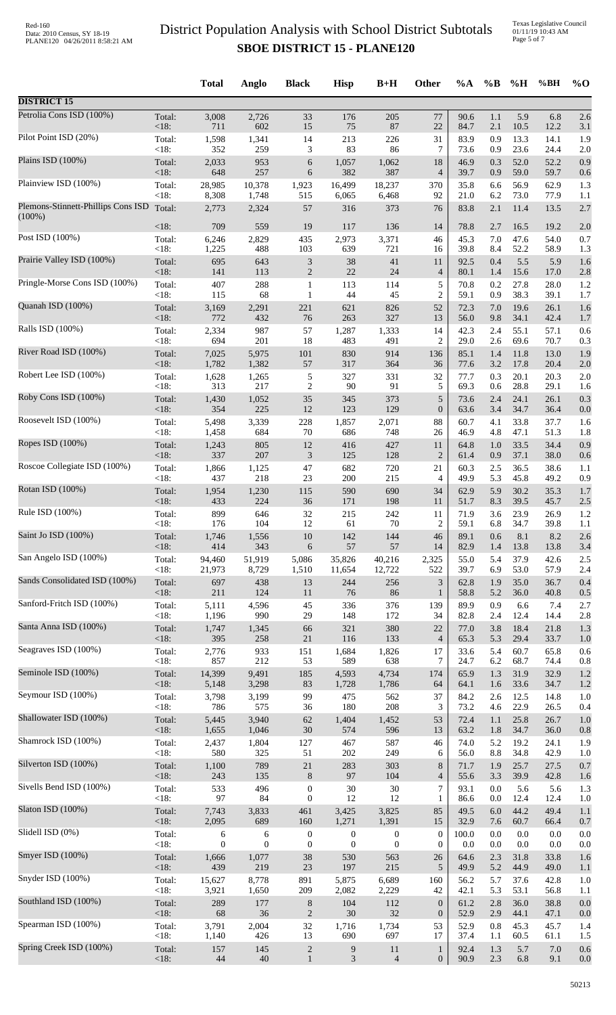Texas Legislative Council 01/11/19 10:43 AM Page 5 of 7

|                                    |                 | <b>Total</b>   | Anglo          | <b>Black</b>                | <b>Hisp</b>      | $B+H$            | Other                       | %A           | $\%B$      | %H          | %BH         | $\%$ O     |
|------------------------------------|-----------------|----------------|----------------|-----------------------------|------------------|------------------|-----------------------------|--------------|------------|-------------|-------------|------------|
| <b>DISTRICT 15</b>                 |                 |                |                |                             |                  |                  |                             |              |            |             |             |            |
| Petrolia Cons ISD (100%)           | Total:          | 3,008          | 2,726          | 33                          | 176              | 205              | $77\,$                      | 90.6         | 1.1        | 5.9         | 6.8         | 2.6        |
| Pilot Point ISD (20%)              | $<18$ :         | 711            | 602            | 15                          | 75               | 87               | 22                          | 84.7         | 2.1        | 10.5        | 12.2        | 3.1        |
|                                    | Total:          | 1,598          | 1,341          | 14                          | 213              | 226              | 31                          | 83.9         | 0.9        | 13.3        | 14.1        | 1.9        |
|                                    | < 18:           | 352            | 259            | 3                           | 83               | 86               | $\tau$                      | 73.6         | 0.9        | 23.6        | 24.4        | 2.0        |
| Plains ISD (100%)                  | Total:          | 2,033          | 953            | $\boldsymbol{6}$            | 1,057            | 1,062            | 18                          | 46.9         | 0.3        | 52.0        | 52.2        | 0.9        |
|                                    | $<18$ :         | 648            | 257            | 6                           | 382              | 387              | $\overline{4}$              | 39.7         | 0.9        | 59.0        | 59.7        | 0.6        |
| Plainview ISD (100%)               | Total:          | 28,985         | 10,378         | 1,923                       | 16,499           | 18,237           | 370                         | 35.8         | 6.6        | 56.9        | 62.9        | 1.3        |
| Plemons-Stinnett-Phillips Cons ISD | < 18:           | 8,308          | 1,748          | 515                         | 6,065            | 6,468            | 92                          | 21.0         | 6.2        | 73.0        | 77.9        | 1.1        |
|                                    | Total:          | 2,773          | 2,324          | 57                          | 316              | 373              | 76                          | 83.8         | 2.1        | 11.4        | 13.5        | 2.7        |
| $(100\%)$                          | $<18$ :         | 709            | 559            | 19                          | 117              | 136              | 14                          | 78.8         | 2.7        | 16.5        | 19.2        | 2.0        |
| Post ISD (100%)                    | Total:          | 6,246          | 2,829          | 435                         | 2,973            | 3,371            | 46                          | 45.3         | 7.0        | 47.6        | 54.0        | 0.7        |
| Prairie Valley ISD (100%)          | < 18:           | 1,225          | 488            | 103                         | 639              | 721              | 16                          | 39.8         | 8.4        | 52.2        | 58.9        | 1.3        |
|                                    | Total:          | 695            | 643            | $\ensuremath{\mathfrak{Z}}$ | $38\,$           | 41               | 11                          | 92.5         | 0.4        | 5.5         | 5.9         | 1.6        |
| Pringle-Morse Cons ISD (100%)      | <18:            | 141            | 113            | $\sqrt{2}$                  | $22\,$           | 24               | $\overline{4}$              | 80.1         | 1.4        | 15.6        | 17.0        | 2.8        |
|                                    | Total:          | 407            | 288            | $\mathbf{1}$                | 113              | 114              | 5                           | 70.8         | 0.2        | 27.8        | 28.0        | 1.2        |
|                                    | < 18:           | 115            | 68             | $\mathbf{1}$                | $44$             | 45               | $\overline{2}$              | 59.1         | 0.9        | 38.3        | 39.1        | 1.7        |
| Quanah ISD (100%)                  | Total:          | 3,169          | 2,291          | 221                         | 621              | 826              | 52                          | 72.3         | 7.0        | 19.6        | 26.1        | 1.6        |
|                                    | <18:            | 772            | 432            | 76                          | 263              | 327              | 13                          | 56.0         | 9.8        | 34.1        | 42.4        | 1.7        |
| Ralls ISD (100%)                   | Total:          | 2,334          | 987            | 57                          | 1,287            | 1,333            | 14                          | 42.3         | 2.4        | 55.1        | 57.1        | 0.6        |
| River Road ISD (100%)              | < 18:           | 694            | 201            | 18                          | 483              | 491              | $\overline{2}$              | 29.0         | 2.6        | 69.6        | 70.7        | 0.3        |
|                                    | Total:          | 7,025          | 5,975          | 101                         | 830              | 914              | 136                         | 85.1         | 1.4        | 11.8        | 13.0        | 1.9        |
|                                    | < 18:           | 1,782          | 1,382          | 57                          | 317              | 364              | 36                          | 77.6         | 3.2        | 17.8        | 20.4        | 2.0        |
| Robert Lee ISD (100%)              | Total:          | 1,628          | 1,265          | 5                           | 327              | 331              | 32                          | 77.7         | 0.3        | 20.1        | 20.3        | 2.0        |
|                                    | < 18:           | 313            | 217            | $\overline{c}$              | 90               | 91               | 5                           | 69.3         | 0.6        | 28.8        | 29.1        | 1.6        |
| Roby Cons ISD (100%)               | Total:          | 1,430          | 1,052          | 35                          | 345              | 373              | 5                           | 73.6         | 2.4        | 24.1        | 26.1        | 0.3        |
| Roosevelt ISD (100%)               | <18:            | 354            | 225            | 12                          | 123              | 129              | $\boldsymbol{0}$            | 63.6         | 3.4        | 34.7        | 36.4        | 0.0        |
|                                    | Total:          | 5,498          | 3,339          | 228                         | 1,857            | 2,071            | 88                          | 60.7         | 4.1        | 33.8        | 37.7        | 1.6        |
|                                    | < 18:           | 1,458          | 684            | 70                          | 686              | 748              | 26                          | 46.9         | 4.8        | 47.1        | 51.3        | 1.8        |
| Ropes ISD (100%)                   | Total:          | 1,243          | 805            | 12                          | 416              | 427              | 11                          | 64.8         | 1.0        | 33.5        | 34.4        | 0.9        |
|                                    | <18:            | 337            | 207            | $\mathfrak{Z}$              | 125              | 128              | $\overline{2}$              | 61.4         | 0.9        | 37.1        | 38.0        | 0.6        |
| Roscoe Collegiate ISD (100%)       | Total:          | 1,866          | 1,125          | 47                          | 682              | 720              | 21                          | 60.3         | $2.5$      | 36.5        | 38.6        | 1.1        |
|                                    | < 18:           | 437            | 218            | 23                          | 200              | 215              | $\overline{4}$              | 49.9         | 5.3        | 45.8        | 49.2        | 0.9        |
| Rotan ISD (100%)                   | Total:          | 1,954          | 1,230          | 115                         | 590              | 690              | 34                          | 62.9         | 5.9        | 30.2        | 35.3        | 1.7        |
|                                    | <18:            | 433            | 224            | 36                          | 171              | 198              | 11                          | 51.7         | 8.3        | 39.5        | 45.7        | 2.5        |
| Rule ISD (100%)                    | Total:          | 899            | 646            | 32                          | 215              | 242              | 11                          | 71.9         | 3.6        | 23.9        | 26.9        | 1.2        |
| Saint Jo ISD (100%)                | <18:            | 176            | 104            | 12                          | 61               | 70               | $\overline{2}$              | 59.1         | 6.8        | 34.7        | 39.8        | 1.1        |
|                                    | Total:          | 1,746          | 1,556          | 10                          | 142              | 144              | 46                          | 89.1         | 0.6        | 8.1         | 8.2         | 2.6        |
|                                    | $<18$ :         | 414            | 343            | 6                           | 57               | 57               | 14                          | 82.9         | 1.4        | 13.8        | 13.8        | 3.4        |
| San Angelo ISD (100%)              | Total:          | 94,460         | 51,919         | 5,086                       | 35,826           | 40,216           | 2,325                       | 55.0         | 5.4        | 37.9        | 42.6        | 2.5        |
|                                    | < 18:           | 21,973         | 8,729          | 1,510                       | 11,654           | 12,722           | 522                         | 39.7         | 6.9        | 53.0        | 57.9        | 2.4        |
| Sands Consolidated ISD (100%)      | Total:          | 697            | 438            | 13                          | 244              | 256              | $\ensuremath{\mathfrak{Z}}$ | 62.8         | 1.9        | 35.0        | 36.7        | 0.4        |
|                                    | < 18:           | 211            | 124            | 11                          | 76               | 86               | $\mathbf{1}$                | 58.8         | 5.2        | 36.0        | 40.8        | 0.5        |
| Sanford-Fritch ISD (100%)          | Total:          | 5,111          | 4,596          | 45                          | 336              | 376              | 139                         | 89.9         | 0.9        | 6.6         | 7.4         | 2.7        |
|                                    | < 18:           | 1,196          | 990            | 29                          | 148              | 172              | 34                          | 82.8         | 2.4        | 12.4        | 14.4        | 2.8        |
| Santa Anna ISD (100%)              | Total:          | 1,747          | 1,345          | 66                          | 321              | 380              | 22                          | 77.0         | 3.8        | 18.4        | 21.8        | 1.3        |
| Seagraves ISD (100%)               | < 18:           | 395            | 258            | $21\,$                      | 116              | 133              | $\overline{4}$              | 65.3         | 5.3        | 29.4        | 33.7        | 1.0        |
|                                    | Total:          | 2,776          | 933            | 151                         | 1,684            | 1,826            | 17                          | 33.6         | 5.4        | 60.7        | 65.8        | 0.6        |
| Seminole ISD (100%)                | < 18:           | 857            | 212            | 53                          | 589              | 638              | 7                           | 24.7         | 6.2        | 68.7        | 74.4        | 0.8        |
|                                    | Total:          | 14,399         | 9,491          | 185                         | 4,593            | 4,734            | 174                         | 65.9         | 1.3        | 31.9        | 32.9        | 1.2        |
|                                    | <18:            | 5,148          | 3,298          | 83                          | 1,728            | 1,786            | 64                          | 64.1         | 1.6        | 33.6        | 34.7        | 1.2        |
| Seymour ISD (100%)                 | Total:          | 3,798          | 3,199          | 99                          | 475              | 562              | 37                          | 84.2         | 2.6        | 12.5        | 14.8        | 1.0        |
|                                    | <18:            | 786            | 575            | 36                          | 180              | 208              | 3                           | 73.2         | 4.6        | 22.9        | 26.5        | 0.4        |
| Shallowater ISD (100%)             | Total:          | 5,445          | 3,940          | 62                          | 1,404            | 1,452            | 53                          | 72.4         | 1.1        | 25.8        | 26.7        | 1.0        |
| Shamrock ISD (100%)                | <18:            | 1,655          | 1,046          | 30                          | 574              | 596              | 13                          | 63.2         | 1.8        | 34.7        | 36.0        | 0.8        |
|                                    | Total:          | 2,437          | 1,804          | 127                         | 467              | 587              | 46                          | 74.0         | 5.2        | 19.2        | 24.1        | 1.9        |
| Silverton ISD (100%)               | < 18:           | 580            | 325            | 51                          | 202              | 249              | 6                           | 56.0         | 8.8        | 34.8        | 42.9        | 1.0        |
|                                    | Total:          | 1,100          | 789            | $21\,$                      | 283              | 303              | 8                           | 71.7         | 1.9        | 25.7        | 27.5        | 0.7        |
|                                    | < 18:           | 243            | 135            | $\,8\,$                     | 97               | 104              | $\overline{4}$              | 55.6         | 3.3        | 39.9        | 42.8        | 1.6        |
| Sivells Bend ISD (100%)            | Total:          | 533            | 496            | $\boldsymbol{0}$            | $30\,$           | $30\,$           | 7                           | 93.1         | 0.0        | 5.6         | 5.6         | 1.3        |
|                                    | < 18:           | 97             | 84             | $\boldsymbol{0}$            | 12               | 12               | 1                           | 86.6         | 0.0        | 12.4        | 12.4        | 1.0        |
| Slaton ISD (100%)                  | Total:          | 7,743          | 3,833          | 461                         | 3,425            | 3,825            | 85                          | 49.5         | $6.0\,$    | 44.2        | 49.4        | 1.1        |
|                                    | <18:            | 2,095          | 689            | 160                         | 1,271            | 1,391            | 15                          | 32.9         | 7.6        | 60.7        | 66.4        | 0.7        |
| Slidell ISD (0%)                   | Total:          | 6              | $\sqrt{6}$     | $\boldsymbol{0}$            | $\boldsymbol{0}$ | $\boldsymbol{0}$ | $\boldsymbol{0}$            | 100.0        | 0.0        | 0.0         | 0.0         | 0.0        |
|                                    | < 18:           | $\overline{0}$ | $\overline{0}$ | $\boldsymbol{0}$            | $\theta$         | $\overline{0}$   | $\theta$                    | 0.0          | 0.0        | 0.0         | 0.0         | 0.0        |
| Smyer ISD (100%)                   | Total:          | 1,666          | 1,077          | 38                          | 530              | 563              | 26                          | 64.6         | 2.3        | 31.8        | 33.8        | 1.6        |
|                                    | < 18:           | 439            | 219            | 23                          | 197              | 215              | 5                           | 49.9         | 5.2        | 44.9        | 49.0        | 1.1        |
| Snyder ISD (100%)                  | Total:          | 15,627         | 8,778          | 891                         | 5,875            | 6,689            | 160                         | 56.2         | 5.7        | 37.6        | 42.8        | 1.0        |
| Southland ISD (100%)               | <18:            | 3,921          | 1,650          | 209                         | 2,082            | 2,229            | 42                          | 42.1         | 5.3        | 53.1        | 56.8        | 1.1        |
|                                    | Total:          | 289            | 177            | 8                           | 104              | 112              | $\mathbf{0}$                | 61.2         | 2.8        | 36.0        | 38.8        | 0.0        |
| Spearman ISD (100%)                | <18:            | 68             | 36             | $\mathbf{2}$                | $30\,$           | 32               | $\mathbf{0}$                | 52.9         | 2.9        | 44.1        | 47.1        | 0.0        |
|                                    | Total:          | 3,791          | 2,004          | 32                          | 1,716            | 1,734            | 53                          | 52.9         | 0.8        | 45.3        | 45.7        | 1.4        |
| Spring Creek ISD (100%)            | < 18:<br>Total: | 1,140          | 426            | 13<br>$\sqrt{2}$            | 690              | 697<br>11        | 17<br>$\mathbf{1}$          | 37.4<br>92.4 | 1.1<br>1.3 | 60.5<br>5.7 | 61.1<br>7.0 | 1.5<br>0.6 |
|                                    | <18:            | 157<br>44      | 145<br>$40\,$  | $\mathbf{1}$                | 9<br>3           | $\overline{4}$   | $\boldsymbol{0}$            | 90.9         | $2.3\,$    | 6.8         | 9.1         | 0.0        |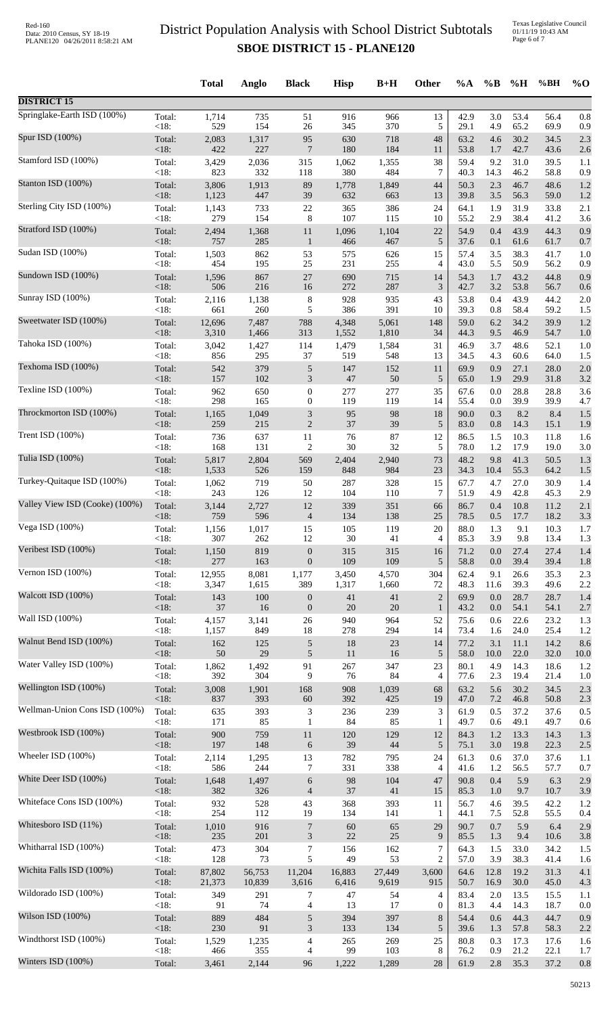|                                |                 | <b>Total</b>   | Anglo      | <b>Black</b>                         | <b>Hisp</b>   | $B+H$      | Other                | %A           | $\%$ B      | %H           | %BH          | $%$ <sup>O</sup> |
|--------------------------------|-----------------|----------------|------------|--------------------------------------|---------------|------------|----------------------|--------------|-------------|--------------|--------------|------------------|
| <b>DISTRICT 15</b>             |                 |                |            |                                      |               |            |                      |              |             |              |              |                  |
| Springlake-Earth ISD (100%)    | Total:          | 1,714          | 735        | 51                                   | 916           | 966        | 13                   | 42.9         | 3.0         | 53.4         | 56.4         | 0.8              |
| Spur ISD (100%)                | < 18:           | 529            | 154        | 26                                   | 345           | 370        | 5                    | 29.1         | 4.9         | 65.2         | 69.9         | 0.9              |
|                                | Total:          | 2,083          | 1,317      | 95                                   | 630           | 718        | 48                   | 63.2         | 4.6         | 30.2         | 34.5         | 2.3              |
| Stamford ISD (100%)            | <18:            | 422            | 227        | $\overline{7}$                       | 180           | 184        | 11                   | 53.8         | 1.7         | 42.7         | 43.6         | 2.6              |
|                                | Total:          | 3,429          | 2,036      | 315                                  | 1,062         | 1,355      | 38                   | 59.4         | 9.2         | 31.0         | 39.5         | 1.1              |
|                                | < 18:           | 823            | 332        | 118                                  | 380           | 484        | 7                    | 40.3         | 14.3        | 46.2         | 58.8         | 0.9              |
| Stanton ISD (100%)             | Total:          | 3,806          | 1,913      | 89                                   | 1,778         | 1,849      | 44                   | 50.3         | 2.3         | 46.7         | 48.6         | 1.2              |
|                                | <18:            | 1,123          | 447        | 39                                   | 632           | 663        | 13                   | 39.8         | 3.5         | 56.3         | 59.0         | 1.2              |
| Sterling City ISD (100%)       | Total:<br>< 18: | 1,143<br>279   | 733<br>154 | 22                                   | 365<br>107    | 386<br>115 | 24<br>10             | 64.1         | 1.9         | 31.9<br>38.4 | 33.8         | 2.1              |
| Stratford ISD (100%)           | Total:          | 2,494          | 1,368      | 8<br>11                              | 1,096         | 1,104      | 22                   | 55.2<br>54.9 | 2.9<br>0.4  | 43.9         | 41.2<br>44.3 | 3.6<br>0.9       |
| Sudan ISD (100%)               | $<18$ :         | 757            | 285        | $\mathbf{1}$                         | 466           | 467        | 5                    | 37.6         | 0.1         | 61.6         | 61.7         | 0.7              |
|                                | Total:          | 1,503          | 862        | 53                                   | 575           | 626        | 15                   | 57.4         | 3.5         | 38.3         | 41.7         | 1.0              |
| Sundown ISD (100%)             | < 18:<br>Total: | 454<br>1,596   | 195<br>867 | 25<br>$27\,$                         | 231<br>690    | 255<br>715 | $\overline{4}$<br>14 | 43.0<br>54.3 | 5.5<br>1.7  | 50.9<br>43.2 | 56.2<br>44.8 | 0.9              |
|                                | $<18$ :         | 506            | 216        | 16                                   | 272           | 287        | 3                    | 42.7         | 3.2         | 53.8         | 56.7         | 0.9<br>0.6       |
| Sunray ISD (100%)              | Total:          | 2,116          | 1,138      | $\,8\,$                              | 928           | 935        | 43                   | 53.8         | 0.4         | 43.9         | 44.2         | 2.0              |
|                                | < 18:           | 661            | 260        | 5                                    | 386           | 391        | 10                   | 39.3         | 0.8         | 58.4         | 59.2         | 1.5              |
| Sweetwater ISD (100%)          | Total:          | 12,696         | 7,487      | 788                                  | 4,348         | 5,061      | 148                  | 59.0         | 6.2         | 34.2         | 39.9         | 1.2              |
|                                | <18:            | 3,310          | 1,466      | 313                                  | 1,552         | 1,810      | 34                   | 44.3         | 9.5         | 46.9         | 54.7         | 1.0              |
| Tahoka ISD (100%)              | Total:          | 3,042          | 1,427      | 114                                  | 1,479         | 1,584      | 31                   | 46.9         | 3.7         | 48.6         | 52.1         | 1.0              |
| Texhoma ISD (100%)             | < 18:           | 856            | 295        | 37                                   | 519           | 548        | 13                   | 34.5         | 4.3         | 60.6         | 64.0         | 1.5              |
|                                | Total:          | 542            | 379        | $\sqrt{5}$                           | 147           | 152        | 11                   | 69.9         | 0.9         | 27.1         | 28.0         | 2.0              |
| Texline ISD (100%)             | <18:<br>Total:  | 157<br>962     | 102        | 3                                    | $47\,$<br>277 | 50<br>277  | 5<br>35              | 65.0         | 1.9<br>0.0  | 29.9<br>28.8 | 31.8<br>28.8 | 3.2              |
|                                | < 18:           | 298            | 650<br>165 | $\boldsymbol{0}$<br>$\boldsymbol{0}$ | 119           | 119        | 14                   | 67.6<br>55.4 | 0.0         | 39.9         | 39.9         | 3.6<br>4.7       |
| Throckmorton ISD (100%)        | Total:          | 1,165          | 1,049      | 3                                    | 95            | 98         | 18                   | 90.0         | 0.3         | 8.2          | 8.4          | 1.5              |
|                                | < 18:           | 259            | 215        | $\sqrt{2}$                           | 37            | 39         | $\sqrt{5}$           | 83.0         | 0.8         | 14.3         | 15.1         | 1.9              |
| Trent ISD (100%)               | Total:          | 736            | 637        | 11                                   | $76\,$        | 87         | 12                   | 86.5         | 1.5         | 10.3         | 11.8         | 1.6              |
|                                | < 18:           | 168            | 131        | $\sqrt{2}$                           | $30\,$        | 32         | 5                    | 78.0         | 1.2         | 17.9         | 19.0         | 3.0              |
| Tulia ISD (100%)               | Total:<br><18:  | 5,817<br>1,533 | 2,804      | 569                                  | 2,404         | 2,940      | 73<br>23             | 48.2         | 9.8         | 41.3         | 50.5         | 1.3              |
| Turkey-Quitaque ISD (100%)     | Total:          | 1,062          | 526<br>719 | 159<br>50                            | 848<br>287    | 984<br>328 | 15                   | 34.3<br>67.7 | 10.4<br>4.7 | 55.3<br>27.0 | 64.2<br>30.9 | 1.5<br>1.4       |
| Valley View ISD (Cooke) (100%) | <18:            | 243            | 126        | 12                                   | 104           | 110        | 7                    | 51.9         | 4.9         | 42.8         | 45.3         | 2.9              |
|                                | Total:          | 3,144          | 2,727      | 12                                   | 339           | 351        | 66                   | 86.7         | 0.4         | 10.8         | 11.2         | 2.1              |
| Vega ISD (100%)                | $<18$ :         | 759            | 596        | $\overline{4}$                       | 134           | 138        | 25                   | 78.5         | 0.5         | 17.7         | 18.2         | 3.3              |
|                                | Total:          | 1,156          | 1,017      | 15                                   | 105           | 119        | 20                   | 88.0         | 1.3         | 9.1          | 10.3         | 1.7              |
|                                | $<18$ :         | 307            | 262        | 12                                   | 30            | 41         | $\overline{4}$       | 85.3         | 3.9         | 9.8          | 13.4         | 1.3              |
| Veribest ISD (100%)            | Total:          | 1,150          | 819        | $\boldsymbol{0}$                     | 315           | 315        | 16                   | 71.2         | 0.0         | 27.4         | 27.4         | 1.4              |
|                                | <18:            | 277            | 163        | $\boldsymbol{0}$                     | 109           | 109        | 5                    | 58.8         | 0.0         | 39.4         | 39.4         | 1.8              |
| Vernon ISD (100%)              | Total:          | 12,955         | 8,081      | 1,177                                | 3,450         | 4,570      | 304                  | 62.4         | 9.1         | 26.6         | 35.3         | 2.3              |
|                                | < 18:           | 3,347          | 1,615      | 389                                  | 1,317         | 1,660      | 72                   | 48.3         | 11.6        | 39.3         | 49.6         | 2.2              |
| Walcott ISD (100%)             | Total:          | 143            | 100        | $\boldsymbol{0}$                     | 41            | 41         | $\overline{2}$       | 69.9         | 0.0         | 28.7         | 28.7         | 1.4              |
| Wall ISD (100%)                | $<18$ :         | 37             | 16         | $\boldsymbol{0}$                     | 20            | $20\,$     | $\mathbf{1}$         | 43.2         | 0.0         | 54.1         | 54.1         | 2.7              |
|                                | Total:          | 4,157          | 3,141      | $26\,$                               | 940           | 964        | 52                   | 75.6         | 0.6         | 22.6         | 23.2         | 1.3              |
| Walnut Bend ISD (100%)         | < 18:           | 1,157          | 849        | 18                                   | 278           | 294        | 14                   | 73.4         | 1.6         | 24.0         | 25.4         | 1.2              |
|                                | Total:          | 162            | 125        | $\sqrt{5}$                           | 18            | 23         | 14                   | 77.2         | 3.1         | 11.1         | 14.2         | 8.6              |
| Water Valley ISD (100%)        | $<18$ :         | 50             | 29         | $\sqrt{5}$                           | 11            | 16         | 5                    | 58.0         | 10.0        | 22.0         | 32.0         | 10.0             |
|                                | Total:          | 1,862          | 1,492      | 91                                   | 267           | 347        | 23                   | 80.1         | 4.9         | 14.3         | 18.6         | 1.2              |
|                                | < 18:           | 392            | 304        | 9                                    | 76            | 84         | $\overline{4}$       | 77.6         | 2.3         | 19.4         | 21.4         | 1.0              |
| Wellington ISD (100%)          | Total:          | 3,008          | 1,901      | 168                                  | 908           | 1,039      | 68                   | 63.2         | 5.6         | 30.2         | 34.5         | 2.3              |
|                                | < 18:           | 837            | 393        | 60                                   | 392           | 425        | 19                   | 47.0         | $7.2\,$     | 46.8         | 50.8         | 2.3              |
| Wellman-Union Cons ISD (100%)  | Total:          | 635            | 393        | $\ensuremath{\mathfrak{Z}}$          | 236           | 239        | 3                    | 61.9         | 0.5         | 37.2         | 37.6         | 0.5              |
|                                | $<18$ :         | 171            | 85         | $\mathbf{1}$                         | 84            | 85         | $\mathbf{1}$         | 49.7         | 0.6         | 49.1         | 49.7         | 0.6              |
| Westbrook ISD (100%)           | Total:          | 900            | 759        | 11                                   | 120           | 129        | 12                   | 84.3         | 1.2         | 13.3         | 14.3         | 1.3              |
| Wheeler ISD (100%)             | < 18:           | 197            | 148        | $\boldsymbol{6}$                     | 39            | 44         | $\mathfrak{S}$       | 75.1         | 3.0         | 19.8         | 22.3         | 2.5              |
|                                | Total:          | 2,114          | 1,295      | 13                                   | 782           | 795        | 24                   | 61.3         | 0.6         | 37.0         | 37.6         | 1.1              |
| White Deer ISD (100%)          | < 18:           | 586            | 244        | $\overline{7}$                       | 331           | 338        | $\overline{4}$       | 41.6         | 1.2         | 56.5         | 57.7         | 0.7              |
|                                | Total:          | 1,648          | 1,497      | 6                                    | 98            | 104        | 47                   | 90.8         | 0.4         | 5.9          | 6.3          | 2.9              |
| Whiteface Cons ISD (100%)      | <18:            | 382            | 326        | $\overline{4}$                       | 37            | 41         | 15                   | 85.3         | 1.0         | 9.7          | 10.7         | 3.9              |
|                                | Total:          | 932            | 528        | 43                                   | 368           | 393        | 11                   | 56.7         | 4.6         | 39.5         | 42.2         | 1.2              |
|                                | < 18:           | 254            | 112        | 19                                   | 134           | 141        | $\mathbf{1}$         | 44.1         | 7.5         | 52.8         | 55.5         | 0.4              |
| Whitesboro ISD (11%)           | Total:          | 1,010          | 916        | $\overline{7}$                       | 60            | 65         | 29                   | 90.7         | 0.7         | 5.9          | 6.4          | 2.9              |
|                                | $<18$ :         | 235            | 201        | $\mathfrak{Z}$                       | 22            | 25         | 9                    | 85.5         | 1.3         | 9.4          | 10.6         | 3.8              |
| Whitharral ISD (100%)          | Total:          | 473            | 304        | $\tau$                               | 156           | 162        | 7                    | 64.3         | 1.5         | 33.0         | 34.2         | 1.5              |
|                                | < 18:           | 128            | 73         | 5                                    | 49            | 53         | 2                    | 57.0         | 3.9         | 38.3         | 41.4         | 1.6              |
| Wichita Falls ISD (100%)       | Total:          | 87,802         | 56,753     | 11,204                               | 16,883        | 27,449     | 3,600                | 64.6         | 12.8        | 19.2         | 31.3         | 4.1              |
| Wildorado ISD (100%)           | $<18$ :         | 21,373         | 10,839     | 3,616                                | 6,416         | 9,619      | 915                  | 50.7         | 16.9        | 30.0         | 45.0         | 4.3              |
|                                | Total:          | 349            | 291        | $\overline{7}$                       | 47            | 54         | $\overline{4}$       | 83.4         | 2.0         | 13.5         | 15.5         | 1.1              |
| Wilson ISD (100%)              | < 18:           | 91             | 74         | 4                                    | 13            | 17         | $\boldsymbol{0}$     | 81.3         | 4.4         | 14.3         | 18.7         | 0.0              |
|                                | Total:          | 889            | 484        | $\sqrt{5}$                           | 394           | 397        | 8                    | 54.4         | 0.6         | 44.3         | 44.7         | 0.9              |
| Windthorst ISD (100%)          | $<18$ :         | 230            | 91         | 3                                    | 133           | 134        | 5                    | 39.6         | 1.3         | 57.8         | 58.3         | 2.2              |
|                                | Total:          | 1,529          | 1,235      | $\overline{4}$                       | 265           | 269        | 25                   | 80.8         | 0.3         | 17.3         | 17.6         | 1.6              |
|                                | < 18:           | 466            | 355        | 4                                    | 99            | 103        | 8                    | 76.2         | 0.9         | 21.2         | 22.1         | 1.7              |
| Winters ISD (100%)             | Total:          | 3,461          | 2,144      | 96                                   | 1,222         | 1,289      | $28\,$               | 61.9         | $2.8\,$     | 35.3         | 37.2         | 0.8              |